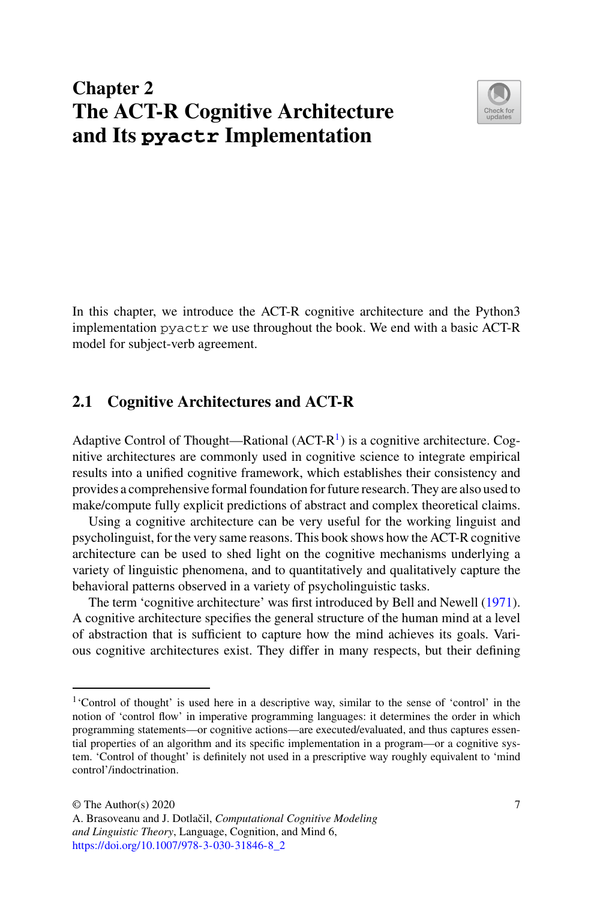# **Chapter 2 The ACT-R Cognitive Architecture and Its pyactr Implementation**



In this chapter, we introduce the ACT-R cognitive architecture and the Python3 implementation pyactr we use throughout the book. We end with a basic ACT-R model for subject-verb agreement.

# **2.1 Cognitive Architectures and ACT-R**

Adaptive Control of Thought—Rational  $(ACT-R<sup>1</sup>)$  is a cognitive architecture. Cognitive architectures are commonly used in cognitive science to integrate empirical results into a unified cognitive framework, which establishes their consistency and provides a comprehensive formal foundation for future research. They are also used to make/compute fully explicit predictions of abstract and complex theoretical claims.

Using a cognitive architecture can be very useful for the working linguist and psycholinguist, for the very same reasons. This book shows how the ACT-R cognitive architecture can be used to shed light on the cognitive mechanisms underlying a variety of linguistic phenomena, and to quantitatively and qualitatively capture the behavioral patterns observed in a variety of psycholinguistic tasks.

The term 'cognitive architecture' was first introduced by Bell and Newell (1971). A cognitive architecture specifies the general structure of the human mind at a level of abstraction that is sufficient to capture how the mind achieves its goals. Various cognitive architectures exist. They differ in many respects, but their defining

<sup>1&#</sup>x27;Control of thought' is used here in a descriptive way, similar to the sense of 'control' in the notion of 'control flow' in imperative programming languages: it determines the order in which programming statements—or cognitive actions—are executed/evaluated, and thus captures essential properties of an algorithm and its specific implementation in a program—or a cognitive system. 'Control of thought' is definitely not used in a prescriptive way roughly equivalent to 'mind control'/indoctrination.

A. Brasoveanu and J. Dotlačil, *Computational Cognitive Modeling and Linguistic Theory*, Language, Cognition, and Mind 6, [https://doi.org/10.1007/978-3-030-31846-8\\_2](https://doi.org/10.1007/978-3-030-31846-8_2)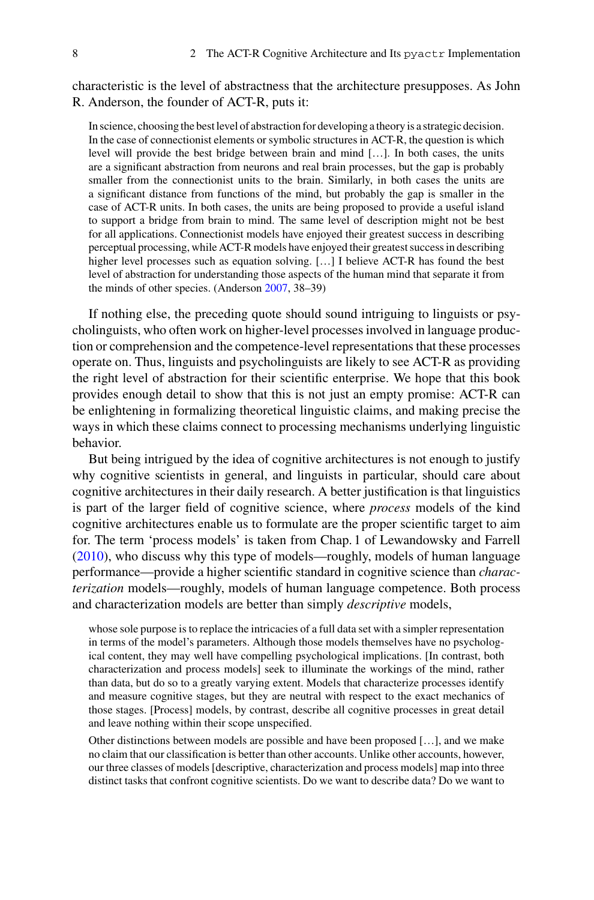### characteristic is the level of abstractness that the architecture presupposes. As John R. Anderson, the founder of ACT-R, puts it:

In science, choosing the best level of abstraction for developing a theory is a strategic decision. In the case of connectionist elements or symbolic structures in ACT-R, the question is which level will provide the best bridge between brain and mind […]. In both cases, the units are a significant abstraction from neurons and real brain processes, but the gap is probably smaller from the connectionist units to the brain. Similarly, in both cases the units are a significant distance from functions of the mind, but probably the gap is smaller in the case of ACT-R units. In both cases, the units are being proposed to provide a useful island to support a bridge from brain to mind. The same level of description might not be best for all applications. Connectionist models have enjoyed their greatest success in describing perceptual processing, while ACT-R models have enjoyed their greatest success in describing higher level processes such as equation solving. [...] I believe ACT-R has found the best level of abstraction for understanding those aspects of the human mind that separate it from the minds of other species. (Anderson 2007, 38–39)

If nothing else, the preceding quote should sound intriguing to linguists or psycholinguists, who often work on higher-level processes involved in language production or comprehension and the competence-level representations that these processes operate on. Thus, linguists and psycholinguists are likely to see ACT-R as providing the right level of abstraction for their scientific enterprise. We hope that this book provides enough detail to show that this is not just an empty promise: ACT-R can be enlightening in formalizing theoretical linguistic claims, and making precise the ways in which these claims connect to processing mechanisms underlying linguistic behavior.

But being intrigued by the idea of cognitive architectures is not enough to justify why cognitive scientists in general, and linguists in particular, should care about cognitive architectures in their daily research. A better justification is that linguistics is part of the larger field of cognitive science, where *process* models of the kind cognitive architectures enable us to formulate are the proper scientific target to aim for. The term 'process models' is taken from Chap. 1 of Lewandowsky and Farrell (2010), who discuss why this type of models—roughly, models of human language performance—provide a higher scientific standard in cognitive science than *characterization* models—roughly, models of human language competence. Both process and characterization models are better than simply *descriptive* models,

whose sole purpose is to replace the intricacies of a full data set with a simpler representation in terms of the model's parameters. Although those models themselves have no psychological content, they may well have compelling psychological implications. [In contrast, both characterization and process models] seek to illuminate the workings of the mind, rather than data, but do so to a greatly varying extent. Models that characterize processes identify and measure cognitive stages, but they are neutral with respect to the exact mechanics of those stages. [Process] models, by contrast, describe all cognitive processes in great detail and leave nothing within their scope unspecified.

Other distinctions between models are possible and have been proposed […], and we make no claim that our classification is better than other accounts. Unlike other accounts, however, our three classes of models [descriptive, characterization and process models] map into three distinct tasks that confront cognitive scientists. Do we want to describe data? Do we want to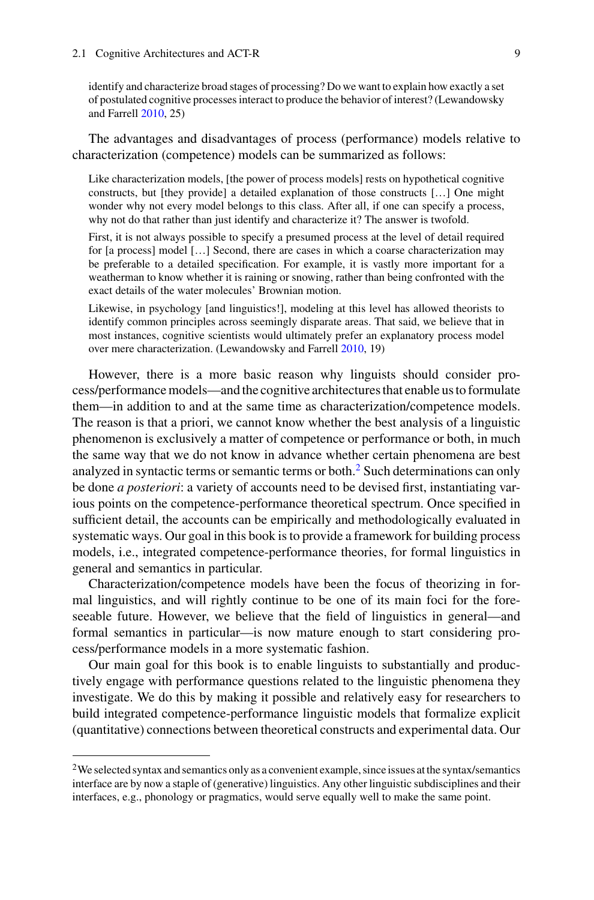#### 2.1 Cognitive Architectures and ACT-R 9

identify and characterize broad stages of processing? Do we want to explain how exactly a set of postulated cognitive processes interact to produce the behavior of interest? (Lewandowsky and Farrell 2010, 25)

The advantages and disadvantages of process (performance) models relative to characterization (competence) models can be summarized as follows:

Like characterization models, [the power of process models] rests on hypothetical cognitive constructs, but [they provide] a detailed explanation of those constructs […] One might wonder why not every model belongs to this class. After all, if one can specify a process, why not do that rather than just identify and characterize it? The answer is twofold.

First, it is not always possible to specify a presumed process at the level of detail required for [a process] model […] Second, there are cases in which a coarse characterization may be preferable to a detailed specification. For example, it is vastly more important for a weatherman to know whether it is raining or snowing, rather than being confronted with the exact details of the water molecules' Brownian motion.

Likewise, in psychology [and linguistics!], modeling at this level has allowed theorists to identify common principles across seemingly disparate areas. That said, we believe that in most instances, cognitive scientists would ultimately prefer an explanatory process model over mere characterization. (Lewandowsky and Farrell 2010, 19)

However, there is a more basic reason why linguists should consider process/performance models—and the cognitive architectures that enable us to formulate them—in addition to and at the same time as characterization/competence models. The reason is that a priori, we cannot know whether the best analysis of a linguistic phenomenon is exclusively a matter of competence or performance or both, in much the same way that we do not know in advance whether certain phenomena are best analyzed in syntactic terms or semantic terms or both.2 Such determinations can only be done *a posteriori*: a variety of accounts need to be devised first, instantiating various points on the competence-performance theoretical spectrum. Once specified in sufficient detail, the accounts can be empirically and methodologically evaluated in systematic ways. Our goal in this book is to provide a framework for building process models, i.e., integrated competence-performance theories, for formal linguistics in general and semantics in particular.

Characterization/competence models have been the focus of theorizing in formal linguistics, and will rightly continue to be one of its main foci for the foreseeable future. However, we believe that the field of linguistics in general—and formal semantics in particular—is now mature enough to start considering process/performance models in a more systematic fashion.

Our main goal for this book is to enable linguists to substantially and productively engage with performance questions related to the linguistic phenomena they investigate. We do this by making it possible and relatively easy for researchers to build integrated competence-performance linguistic models that formalize explicit (quantitative) connections between theoretical constructs and experimental data. Our

<sup>2</sup>We selected syntax and semantics only as a convenient example, since issues at the syntax/semantics interface are by now a staple of (generative) linguistics. Any other linguistic subdisciplines and their interfaces, e.g., phonology or pragmatics, would serve equally well to make the same point.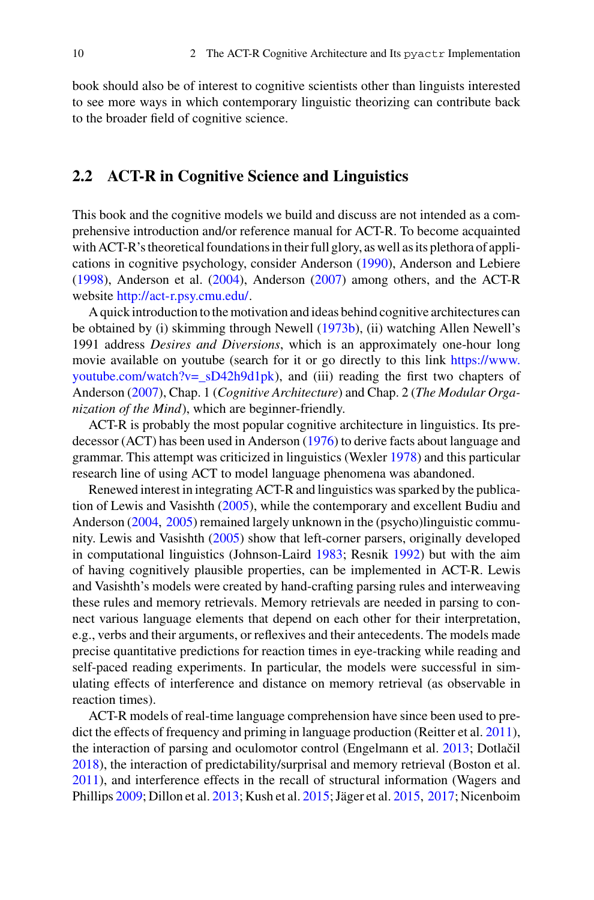### **2.2 ACT-R in Cognitive Science and Linguistics**

This book and the cognitive models we build and discuss are not intended as a comprehensive introduction and/or reference manual for ACT-R. To become acquainted with ACT-R's theoretical foundations in their full glory, as well as its plethora of applications in cognitive psychology, consider Anderson (1990), Anderson and Lebiere (1998), Anderson et al. (2004), Anderson (2007) among others, and the ACT-R website [http://act-r.psy.cmu.edu/.](http://act-r.psy.cmu.edu/)

A quick introduction to the motivation and ideas behind cognitive architectures can be obtained by (i) skimming through Newell (1973b), (ii) watching Allen Newell's 1991 address *Desires and Diversions*, which is an approximately one-hour long movie available on youtube (search for it or go directly to this link [https://www.](https://www.youtube.com/watch?v=_sD42h9d1pk) youtube.com/watch?v=  $sD42h9d1pk$ , and (iii) reading the first two chapters of Anderson (2007), Chap. 1 (*Cognitive Architecture*) and Chap. 2 (*The Modular Organization of the Mind*), which are beginner-friendly.

ACT-R is probably the most popular cognitive architecture in linguistics. Its predecessor (ACT) has been used in Anderson (1976) to derive facts about language and grammar. This attempt was criticized in linguistics (Wexler 1978) and this particular research line of using ACT to model language phenomena was abandoned.

Renewed interest in integrating ACT-R and linguistics was sparked by the publication of Lewis and Vasishth (2005), while the contemporary and excellent Budiu and Anderson (2004, 2005) remained largely unknown in the (psycho)linguistic community. Lewis and Vasishth (2005) show that left-corner parsers, originally developed in computational linguistics (Johnson-Laird 1983; Resnik 1992) but with the aim of having cognitively plausible properties, can be implemented in ACT-R. Lewis and Vasishth's models were created by hand-crafting parsing rules and interweaving these rules and memory retrievals. Memory retrievals are needed in parsing to connect various language elements that depend on each other for their interpretation, e.g., verbs and their arguments, or reflexives and their antecedents. The models made precise quantitative predictions for reaction times in eye-tracking while reading and self-paced reading experiments. In particular, the models were successful in simulating effects of interference and distance on memory retrieval (as observable in reaction times).

ACT-R models of real-time language comprehension have since been used to predict the effects of frequency and priming in language production (Reitter et al. 2011), the interaction of parsing and oculomotor control (Engelmann et al. 2013; Dotlačil 2018), the interaction of predictability/surprisal and memory retrieval (Boston et al. 2011), and interference effects in the recall of structural information (Wagers and Phillips 2009; Dillon et al. 2013; Kush et al. 2015; Jäger et al. 2015, 2017; Nicenboim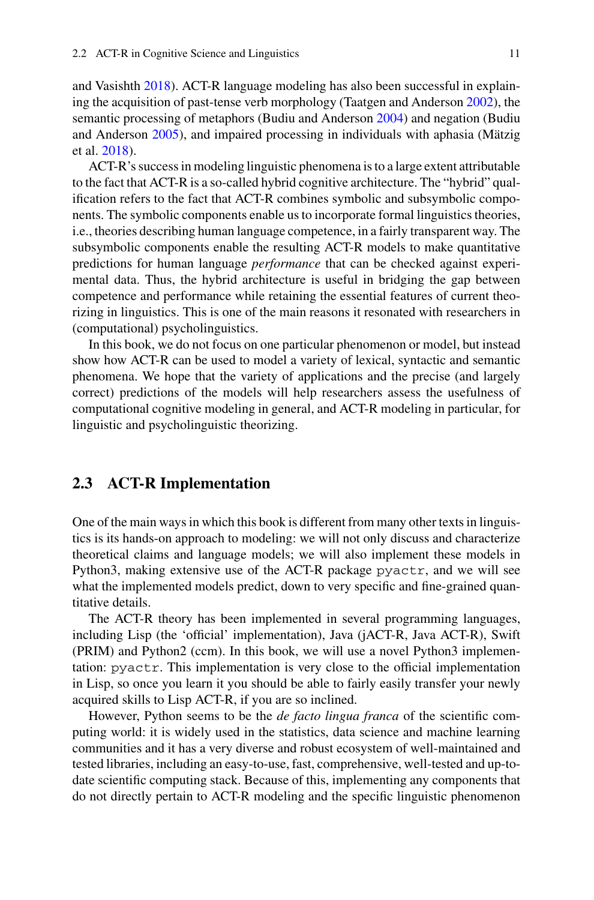and Vasishth 2018). ACT-R language modeling has also been successful in explaining the acquisition of past-tense verb morphology (Taatgen and Anderson 2002), the semantic processing of metaphors (Budiu and Anderson 2004) and negation (Budiu and Anderson 2005), and impaired processing in individuals with aphasia (Mätzig et al. 2018).

ACT-R's success in modeling linguistic phenomena is to a large extent attributable to the fact that ACT-R is a so-called hybrid cognitive architecture. The "hybrid" qualification refers to the fact that ACT-R combines symbolic and subsymbolic components. The symbolic components enable us to incorporate formal linguistics theories, i.e., theories describing human language competence, in a fairly transparent way. The subsymbolic components enable the resulting ACT-R models to make quantitative predictions for human language *performance* that can be checked against experimental data. Thus, the hybrid architecture is useful in bridging the gap between competence and performance while retaining the essential features of current theorizing in linguistics. This is one of the main reasons it resonated with researchers in (computational) psycholinguistics.

In this book, we do not focus on one particular phenomenon or model, but instead show how ACT-R can be used to model a variety of lexical, syntactic and semantic phenomena. We hope that the variety of applications and the precise (and largely correct) predictions of the models will help researchers assess the usefulness of computational cognitive modeling in general, and ACT-R modeling in particular, for linguistic and psycholinguistic theorizing.

#### **2.3 ACT-R Implementation**

One of the main ways in which this book is different from many other texts in linguistics is its hands-on approach to modeling: we will not only discuss and characterize theoretical claims and language models; we will also implement these models in Python3, making extensive use of the ACT-R package pyactr, and we will see what the implemented models predict, down to very specific and fine-grained quantitative details.

The ACT-R theory has been implemented in several programming languages, including Lisp (the 'official' implementation), Java (jACT-R, Java ACT-R), Swift (PRIM) and Python2 (ccm). In this book, we will use a novel Python3 implementation: pyactr. This implementation is very close to the official implementation in Lisp, so once you learn it you should be able to fairly easily transfer your newly acquired skills to Lisp ACT-R, if you are so inclined.

However, Python seems to be the *de facto lingua franca* of the scientific computing world: it is widely used in the statistics, data science and machine learning communities and it has a very diverse and robust ecosystem of well-maintained and tested libraries, including an easy-to-use, fast, comprehensive, well-tested and up-todate scientific computing stack. Because of this, implementing any components that do not directly pertain to ACT-R modeling and the specific linguistic phenomenon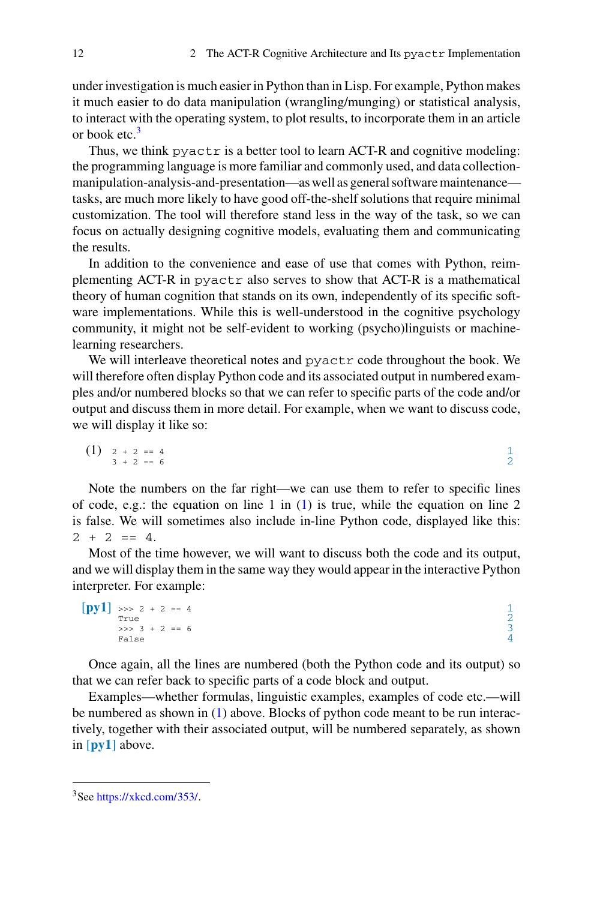under investigation is much easier in Python than in Lisp. For example, Python makes it much easier to do data manipulation (wrangling/munging) or statistical analysis, to interact with the operating system, to plot results, to incorporate them in an article or book etc.<sup>3</sup>

Thus, we think pyactr is a better tool to learn ACT-R and cognitive modeling: the programming language is more familiar and commonly used, and data collectionmanipulation-analysis-and-presentation—as well as general software maintenance tasks, are much more likely to have good off-the-shelf solutions that require minimal customization. The tool will therefore stand less in the way of the task, so we can focus on actually designing cognitive models, evaluating them and communicating the results.

In addition to the convenience and ease of use that comes with Python, reimplementing ACT-R in pyactr also serves to show that ACT-R is a mathematical theory of human cognition that stands on its own, independently of its specific software implementations. While this is well-understood in the cognitive psychology community, it might not be self-evident to working (psycho)linguists or machinelearning researchers.

We will interleave theoretical notes and pyactr code throughout the book. We will therefore often display Python code and its associated output in numbered examples and/or numbered blocks so that we can refer to specific parts of the code and/or output and discuss them in more detail. For example, when we want to discuss code, we will display it like so:

<span id="page-5-0"></span>
$$
\begin{array}{c}\n\text{(1)} \quad 2 + 2 &= 4 \\
3 + 2 &= 6\n\end{array}
$$

Note the numbers on the far right—we can use them to refer to specific lines of code, e.g.: the equation on line 1 in  $(1)$  is true, while the equation on line 2 is false. We will sometimes also include in-line Python code, displayed like this:  $2 + 2 = 4$ .

Most of the time however, we will want to discuss both the code and its output, and we will display them in the same way they would appear in the interactive Python interpreter. For example:

```
[\text{py1}] \Rightarrow \Rightarrow 2 + 2 = = 4<br>True 2<br>\Rightarrow \Rightarrow 3 + 2 = = 6
   \Rightarrow > 3 + 2 == 6 3 3
    False 4
```
Once again, all the lines are numbered (both the Python code and its output) so that we can refer back to specific parts of a code block and output.

Examples—whether formulas, linguistic examples, examples of code etc.—will be numbered as shown in [\(1\)](#page-5-0) above. Blocks of python code meant to be run interactively, together with their associated output, will be numbered separately, as shown in [**[py1](#page-5-1)**] above.

<sup>3</sup>See [https://xkcd.com/353/.](https://xkcd.com/353/)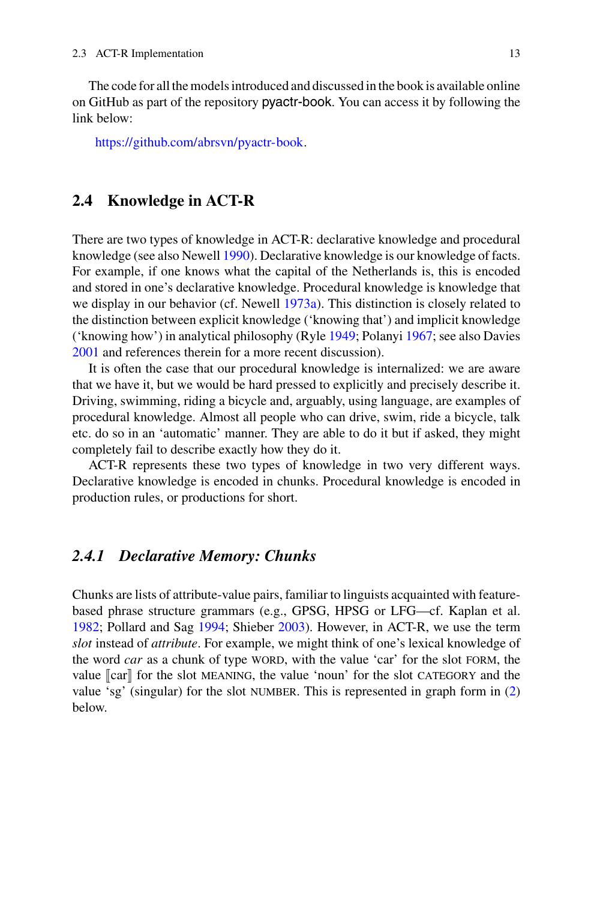The code for all the models introduced and discussed in the book is available online on GitHub as part of the repository pyactr-book. You can access it by following the link below:

[https://github.com/abrsvn/pyactr-book.](https://github.com/abrsvn/pyactr-book)

#### **2.4 Knowledge in ACT-R**

There are two types of knowledge in ACT-R: declarative knowledge and procedural knowledge (see also Newell 1990). Declarative knowledge is our knowledge of facts. For example, if one knows what the capital of the Netherlands is, this is encoded and stored in one's declarative knowledge. Procedural knowledge is knowledge that we display in our behavior (cf. Newell 1973a). This distinction is closely related to the distinction between explicit knowledge ('knowing that') and implicit knowledge ('knowing how') in analytical philosophy (Ryle 1949; Polanyi 1967; see also Davies 2001 and references therein for a more recent discussion).

It is often the case that our procedural knowledge is internalized: we are aware that we have it, but we would be hard pressed to explicitly and precisely describe it. Driving, swimming, riding a bicycle and, arguably, using language, are examples of procedural knowledge. Almost all people who can drive, swim, ride a bicycle, talk etc. do so in an 'automatic' manner. They are able to do it but if asked, they might completely fail to describe exactly how they do it.

ACT-R represents these two types of knowledge in two very different ways. Declarative knowledge is encoded in chunks. Procedural knowledge is encoded in production rules, or productions for short.

# *2.4.1 Declarative Memory: Chunks*

<span id="page-6-0"></span>Chunks are lists of attribute-value pairs, familiar to linguists acquainted with featurebased phrase structure grammars (e.g., GPSG, HPSG or LFG—cf. Kaplan et al. 1982; Pollard and Sag 1994; Shieber 2003). However, in ACT-R, we use the term *slot* instead of *attribute*. For example, we might think of one's lexical knowledge of the word *car* as a chunk of type WORD, with the value 'car' for the slot FORM, the value [[car] for the slot MEANING, the value 'noun' for the slot CATEGORY and the value 'sg' (singular) for the slot NUMBER. This is represented in graph form in  $(2)$ below.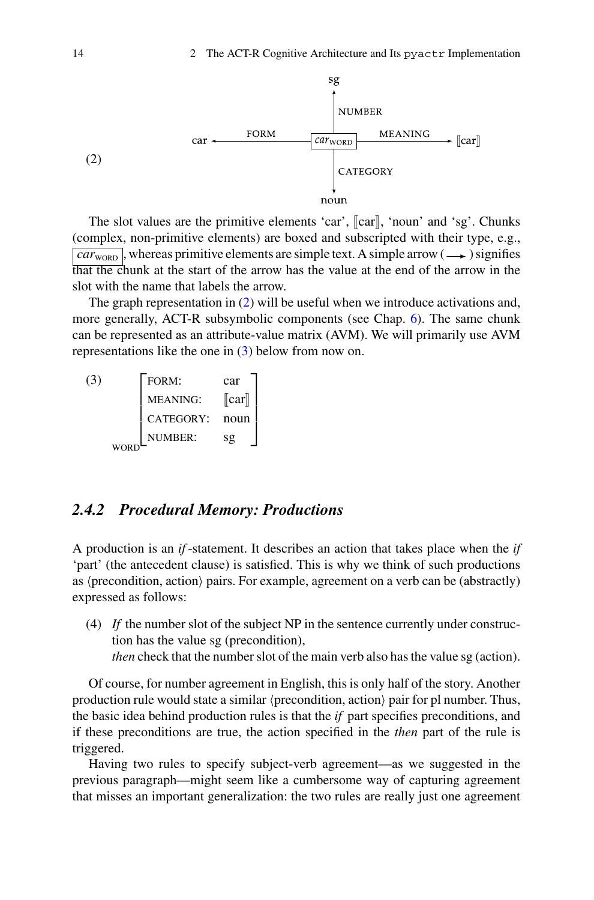

The slot values are the primitive elements 'car',  $\llbracket \text{car} \rrbracket$ , 'noun' and 'sg'. Chunks (complex, non-primitive elements) are boxed and subscripted with their type, e.g.,  $\sqrt{car_{\text{WORD}}}$ , whereas primitive elements are simple text. A simple arrow ( $\rightarrow$ ) signifies that the chunk at the start of the arrow has the value at the end of the arrow in the slot with the name that labels the arrow.

The graph representation in  $(2)$  will be useful when we introduce activations and, more generally, ACT-R subsymbolic components (see Chap. 6). The same chunk can be represented as an attribute-value matrix (AVM). We will primarily use AVM representations like the one in [\(3\)](#page-7-0) below from now on.

<span id="page-7-0"></span>(3) **WORD**  $\Gamma$ ⎢ ⎢ ⎢ ⎣ FORM: car MEANING: [car] CATEGORY: noun number: sg ⎤  $\sqrt{ }$ 

#### *2.4.2 Procedural Memory: Productions*

A production is an *if* -statement. It describes an action that takes place when the *if* 'part' (the antecedent clause) is satisfied. This is why we think of such productions as (precondition, action) pairs. For example, agreement on a verb can be (abstractly) expressed as follows:

(4) *If* the number slot of the subject NP in the sentence currently under construction has the value sg (precondition), *then* check that the number slot of the main verb also has the value sg (action).

Of course, for number agreement in English, this is only half of the story. Another production rule would state a similar (precondition, action) pair for pl number. Thus, the basic idea behind production rules is that the *if* part specifies preconditions, and if these preconditions are true, the action specified in the *then* part of the rule is triggered.

Having two rules to specify subject-verb agreement—as we suggested in the previous paragraph—might seem like a cumbersome way of capturing agreement that misses an important generalization: the two rules are really just one agreement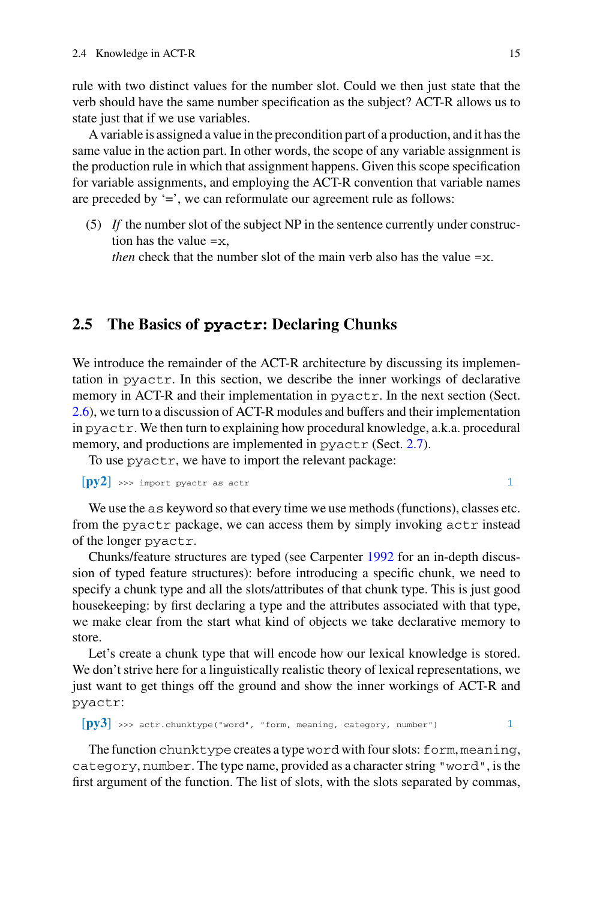rule with two distinct values for the number slot. Could we then just state that the verb should have the same number specification as the subject? ACT-R allows us to state just that if we use variables.

A variable is assigned a value in the precondition part of a production, and it has the same value in the action part. In other words, the scope of any variable assignment is the production rule in which that assignment happens. Given this scope specification for variable assignments, and employing the ACT-R convention that variable names are preceded by '=', we can reformulate our agreement rule as follows:

(5) *If* the number slot of the subject NP in the sentence currently under construction has the value  $=x$ . *then* check that the number slot of the main verb also has the value  $=x$ .

### **2.5 The Basics of pyactr: Declaring Chunks**

We introduce the remainder of the ACT-R architecture by discussing its implementation in pyactr. In this section, we describe the inner workings of declarative memory in ACT-R and their implementation in pyactr. In the next section (Sect. [2.6\)](#page-11-0), we turn to a discussion of ACT-R modules and buffers and their implementation in  $pyactr$ . We then turn to explaining how procedural knowledge, a.k.a. procedural memory, and productions are implemented in pyactr (Sect. [2.7\)](#page-13-0).

To use pyactr, we have to import the relevant package:

```
[py2] >>> import pyactr as actr 1
```
We use the as keyword so that every time we use methods (functions), classes etc. from the pyactr package, we can access them by simply invoking actr instead of the longer pyactr.

Chunks/feature structures are typed (see Carpenter 1992 for an in-depth discussion of typed feature structures): before introducing a specific chunk, we need to specify a chunk type and all the slots/attributes of that chunk type. This is just good housekeeping: by first declaring a type and the attributes associated with that type, we make clear from the start what kind of objects we take declarative memory to store.

Let's create a chunk type that will encode how our lexical knowledge is stored. We don't strive here for a linguistically realistic theory of lexical representations, we just want to get things off the ground and show the inner workings of ACT-R and pyactr:

```
[py3] \gg\ actr.chunktype("word", "form, meaning, category, number") 1
```
The function chunktype creates a type word with four slots: form, meaning, category, number. The type name, provided as a character string "word", is the first argument of the function. The list of slots, with the slots separated by commas,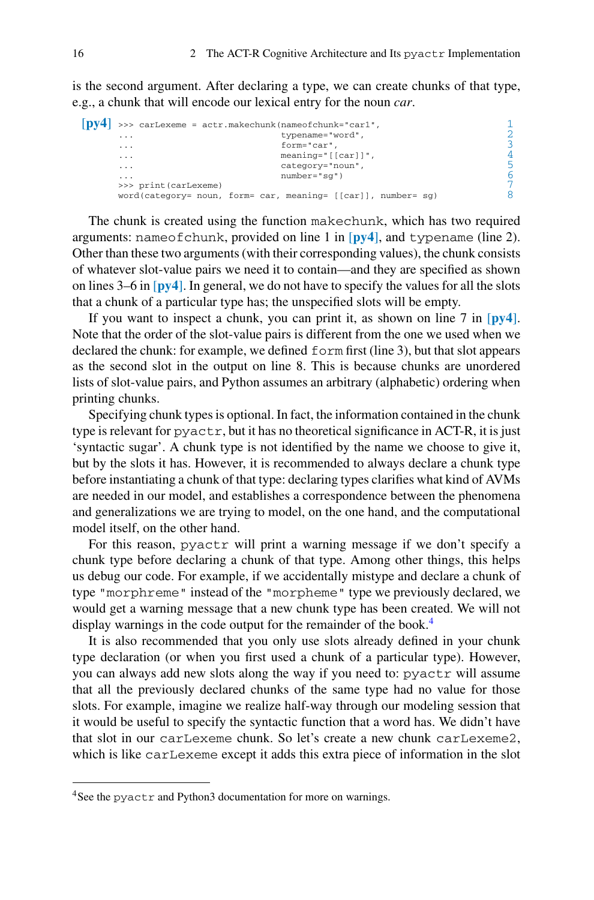is the second argument. After declaring a type, we can create chunks of that type, e.g., a chunk that will encode our lexical entry for the noun *car*.

```
[py4] >>> carLexeme = actr.makechunk(nameofchunk="car1", 1<br>typename="word", 2
   ... typename="word", 2
    ... form="car", 3
   ... meaning="[[car]]", 4
                    category="noun", 5<br>
number="sq") 6
   ... number="sg") 6<br>>>> nrint(carLexeme) 7
   >>> print(carLexeme) 7
   word(category= noun, form= car, meaning= [[car]], number= sg) 8
```
The chunk is created using the function makechunk, which has two required arguments: nameofchunk, provided on line 1 in [**[py4](#page-9-0)**], and typename (line 2). Other than these two arguments (with their corresponding values), the chunk consists of whatever slot-value pairs we need it to contain—and they are specified as shown on lines 3–6 in [**[py4](#page-9-0)**]. In general, we do not have to specify the values for all the slots that a chunk of a particular type has; the unspecified slots will be empty.

If you want to inspect a chunk, you can print it, as shown on line 7 in [**[py4](#page-9-0)**]. Note that the order of the slot-value pairs is different from the one we used when we declared the chunk: for example, we defined form first (line 3), but that slot appears as the second slot in the output on line 8. This is because chunks are unordered lists of slot-value pairs, and Python assumes an arbitrary (alphabetic) ordering when printing chunks.

Specifying chunk types is optional. In fact, the information contained in the chunk type is relevant for pyactr, but it has no theoretical significance in ACT-R, it is just 'syntactic sugar'. A chunk type is not identified by the name we choose to give it, but by the slots it has. However, it is recommended to always declare a chunk type before instantiating a chunk of that type: declaring types clarifies what kind of AVMs are needed in our model, and establishes a correspondence between the phenomena and generalizations we are trying to model, on the one hand, and the computational model itself, on the other hand.

For this reason, pyactr will print a warning message if we don't specify a chunk type before declaring a chunk of that type. Among other things, this helps us debug our code. For example, if we accidentally mistype and declare a chunk of type "morphreme" instead of the "morpheme" type we previously declared, we would get a warning message that a new chunk type has been created. We will not display warnings in the code output for the remainder of the book.<sup>4</sup>

It is also recommended that you only use slots already defined in your chunk type declaration (or when you first used a chunk of a particular type). However, you can always add new slots along the way if you need to: pyactr will assume that all the previously declared chunks of the same type had no value for those slots. For example, imagine we realize half-way through our modeling session that it would be useful to specify the syntactic function that a word has. We didn't have that slot in our carLexeme chunk. So let's create a new chunk carLexeme2, which is like carLexeme except it adds this extra piece of information in the slot

<sup>&</sup>lt;sup>4</sup>See the pyactr and Python3 documentation for more on warnings.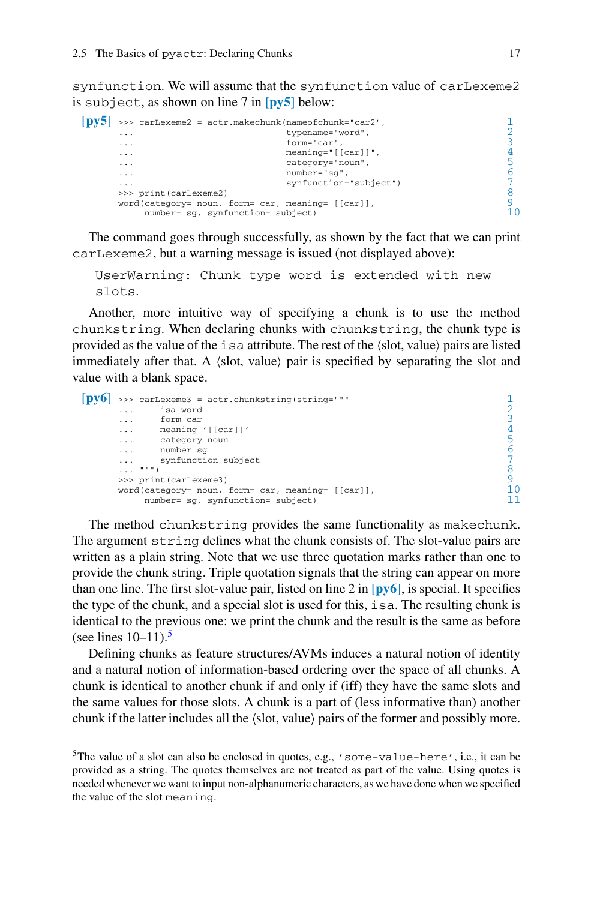synfunction. We will assume that the synfunction value of carLexeme2 is subject, as shown on line 7 in [**[py5](#page-10-0)**] below:

<span id="page-10-0"></span>

| >>> carLexeme2 = actr.makechunk(nameofchunk="car2", |                        |  |
|-----------------------------------------------------|------------------------|--|
| $\cdot$ $\cdot$ $\cdot$                             | typename="word",       |  |
| .                                                   | form="car",            |  |
| .                                                   | $meaning='[[car]]".$   |  |
| .                                                   | category="noun",       |  |
| .                                                   | $number="sq$ ,         |  |
| $\cdot$ $\cdot$ $\cdot$                             | synfunction="subject") |  |
| >>> print(carLexeme2)                               |                        |  |
| word(category= noun, form= car, meaning= [[car]],   |                        |  |
| number= sq, synfunction= subject)                   |                        |  |

The command goes through successfully, as shown by the fact that we can print carLexeme2, but a warning message is issued (not displayed above):

UserWarning: Chunk type word is extended with new slots.

Another, more intuitive way of specifying a chunk is to use the method chunkstring. When declaring chunks with chunkstring, the chunk type is provided as the value of the  $\pm$  sa attribute. The rest of the  $\langle$ slot, value $\rangle$  pairs are listed immediately after that. A  $\langle$ slot, value $\rangle$  pair is specified by separating the slot and value with a blank space.

```
[py6] \rightarrow\rightarrow carLexeme3 = actr.chunkstring(string=""" 1<br>
\cdots is a word 2<br>
form car 3
    ... form car 3
   ... meaning '[[car]]' 4<br>... category noun 5
   ... category noun 5<br>... number sq
    ... number sg 6
   ... synfunction subject 7<br>
... """) 8
    ... """) 8
   >>> print(carLexeme3) 9
   word(category= noun, form= car, meaning= [[car]],
      number= sg, synfunction= subject)
```
The method chunkstring provides the same functionality as makechunk. The argument string defines what the chunk consists of. The slot-value pairs are written as a plain string. Note that we use three quotation marks rather than one to provide the chunk string. Triple quotation signals that the string can appear on more than one line. The first slot-value pair, listed on line 2 in [**[py6](#page-10-1)**], is special. It specifies the type of the chunk, and a special slot is used for this, isa. The resulting chunk is identical to the previous one: we print the chunk and the result is the same as before (see lines  $10-11$ ).<sup>5</sup>

Defining chunks as feature structures/AVMs induces a natural notion of identity and a natural notion of information-based ordering over the space of all chunks. A chunk is identical to another chunk if and only if (iff) they have the same slots and the same values for those slots. A chunk is a part of (less informative than) another chunk if the latter includes all the  $\langle$ slot, value $\rangle$  pairs of the former and possibly more.

<sup>5</sup>The value of a slot can also be enclosed in quotes, e.g., 'some-value-here', i.e., it can be provided as a string. The quotes themselves are not treated as part of the value. Using quotes is needed whenever we want to input non-alphanumeric characters, as we have done when we specified the value of the slot meaning.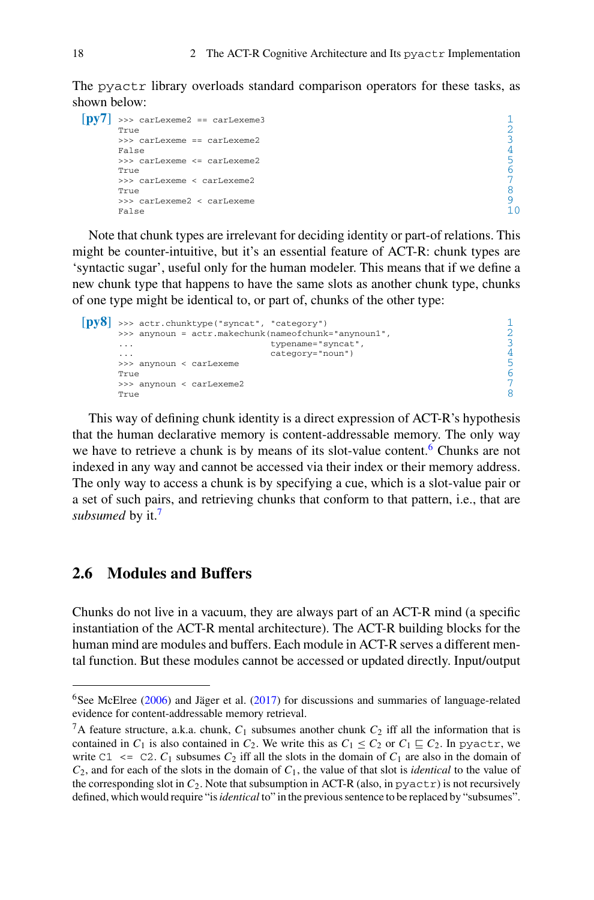The pyactr library overloads standard comparison operators for these tasks, as shown below:

```
[py7] \Rightarrow carLexeme2 == carLexeme3 1<br>True \Rightarrow carLexeme == carLexeme2 2 2
    >>> carLexeme == carLexeme2 3 False 4------<br>
----- carLexeme <= carLexeme2 5<br>
-->> carLexeme < carLexeme2 5<br>
7
    \frac{1}{6}>>> carLexeme < carLexeme2 7 True 80 and 2012 and 2012 and 2012 and 2012 and 2012 and 2012 and 2012 and 2012 and 2012 and 2012 and 2012 and
    >>> carLexeme2 < carLexeme<br>
False 9
    False 10
```
Note that chunk types are irrelevant for deciding identity or part-of relations. This might be counter-intuitive, but it's an essential feature of ACT-R: chunk types are 'syntactic sugar', useful only for the human modeler. This means that if we define a new chunk type that happens to have the same slots as another chunk type, chunks of one type might be identical to, or part of, chunks of the other type:

```
[py8] >>> actr.chunktype("syncat", "category") <br>>>> anynoun = actr.makechunk(nameofchunk="anynoun1", 2
     >>> anynoun = actr.makechunk(nameofchunk="anynoun1", 2
                          typename="syncat", 3<br>
category="noun")               4
     ... category="noun") 4<br>
>>> anynoun < carLexeme 5
     >>> anynoun < carLexeme 5 True 6
     >>> anynoun < carLexeme2 7 True 80 and 2012 and 2012 and 2012 and 2012 and 2012 and 2012 and 2012 and 2012 and 2012 and 2012 and 2012 and
```
This way of defining chunk identity is a direct expression of ACT-R's hypothesis that the human declarative memory is content-addressable memory. The only way we have to retrieve a chunk is by means of its slot-value content.<sup>6</sup> Chunks are not indexed in any way and cannot be accessed via their index or their memory address. The only way to access a chunk is by specifying a cue, which is a slot-value pair or a set of such pairs, and retrieving chunks that conform to that pattern, i.e., that are *subsumed* by it.<sup>7</sup>

### <span id="page-11-0"></span>**2.6 Modules and Buffers**

Chunks do not live in a vacuum, they are always part of an ACT-R mind (a specific instantiation of the ACT-R mental architecture). The ACT-R building blocks for the human mind are modules and buffers. Each module in ACT-R serves a different mental function. But these modules cannot be accessed or updated directly. Input/output

 $6$ See McElree (2006) and Jäger et al. (2017) for discussions and summaries of language-related evidence for content-addressable memory retrieval.

<sup>&</sup>lt;sup>7</sup>A feature structure, a.k.a. chunk,  $C_1$  subsumes another chunk  $C_2$  iff all the information that is contained in  $C_1$  is also contained in  $C_2$ . We write this as  $C_1 \leq C_2$  or  $C_1 \sqsubseteq C_2$ . In pyactr, we write C1  $\leq$  C2.  $C_1$  subsumes  $C_2$  iff all the slots in the domain of  $C_1$  are also in the domain of *C*2, and for each of the slots in the domain of *C*1, the value of that slot is *identical* to the value of the corresponding slot in  $C_2$ . Note that subsumption in ACT-R (also, in  $\text{pyactr}$ ) is not recursively defined, which would require "is*identical* to" in the previous sentence to be replaced by "subsumes".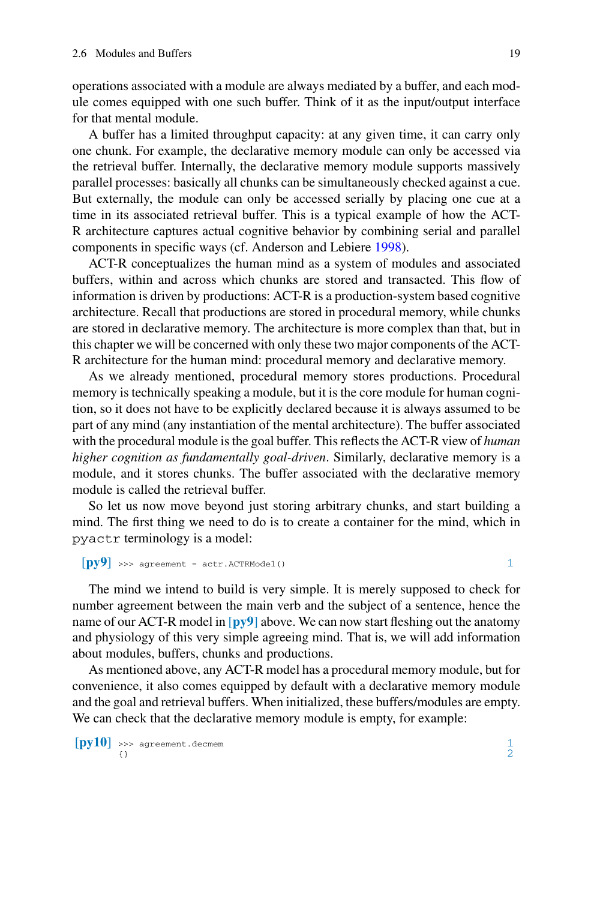operations associated with a module are always mediated by a buffer, and each module comes equipped with one such buffer. Think of it as the input/output interface for that mental module.

A buffer has a limited throughput capacity: at any given time, it can carry only one chunk. For example, the declarative memory module can only be accessed via the retrieval buffer. Internally, the declarative memory module supports massively parallel processes: basically all chunks can be simultaneously checked against a cue. But externally, the module can only be accessed serially by placing one cue at a time in its associated retrieval buffer. This is a typical example of how the ACT-R architecture captures actual cognitive behavior by combining serial and parallel components in specific ways (cf. Anderson and Lebiere 1998).

ACT-R conceptualizes the human mind as a system of modules and associated buffers, within and across which chunks are stored and transacted. This flow of information is driven by productions: ACT-R is a production-system based cognitive architecture. Recall that productions are stored in procedural memory, while chunks are stored in declarative memory. The architecture is more complex than that, but in this chapter we will be concerned with only these two major components of the ACT-R architecture for the human mind: procedural memory and declarative memory.

As we already mentioned, procedural memory stores productions. Procedural memory is technically speaking a module, but it is the core module for human cognition, so it does not have to be explicitly declared because it is always assumed to be part of any mind (any instantiation of the mental architecture). The buffer associated with the procedural module is the goal buffer. This reflects the ACT-R view of *human higher cognition as fundamentally goal-driven*. Similarly, declarative memory is a module, and it stores chunks. The buffer associated with the declarative memory module is called the retrieval buffer.

So let us now move beyond just storing arbitrary chunks, and start building a mind. The first thing we need to do is to create a container for the mind, which in pyactr terminology is a model:

```
[py9] \Rightarrow \text{agreement} = \text{actr}.\text{ACTRModel} ()
```
The mind we intend to build is very simple. It is merely supposed to check for number agreement between the main verb and the subject of a sentence, hence the name of our ACT-R model in [**[py9](#page-12-0)**] above. We can now start fleshing out the anatomy and physiology of this very simple agreeing mind. That is, we will add information about modules, buffers, chunks and productions.

As mentioned above, any ACT-R model has a procedural memory module, but for convenience, it also comes equipped by default with a declarative memory module and the goal and retrieval buffers. When initialized, these buffers/modules are empty. We can check that the declarative memory module is empty, for example:

 $[py10] \rightarrow \rightarrow$  agreement.decmem 1  $\left\{\right\}$  2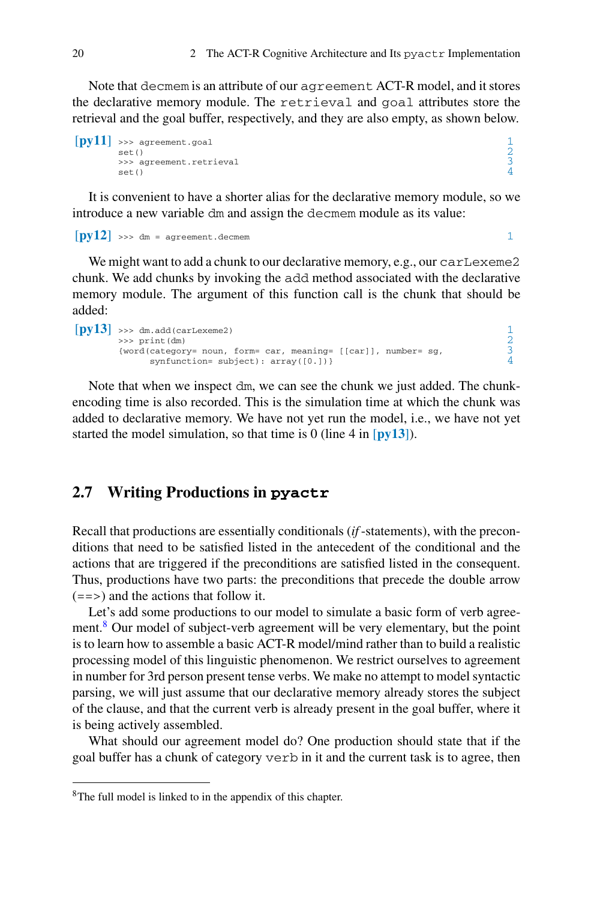Note that decmem is an attribute of our agreement ACT-R model, and it stores the declarative memory module. The retrieval and goal attributes store the retrieval and the goal buffer, respectively, and they are also empty, as shown below.

```
[py11] \rightarrow\rightarrow\rightarrow agreement.goal 1<br>set() 2<br>>>> agreement.retrieval 3
     \mathsf{set}(\mathsf{I})>>> agreement.retrieval 3<br>set () 4
     \mathsf{set}(\mathsf{1})
```
It is convenient to have a shorter alias for the declarative memory module, so we introduce a new variable dm and assign the decmem module as its value:

```
[py12] \implies dm = agreement.decmem 1
```
We might want to add a chunk to our declarative memory, e.g., our carLexeme2 chunk. We add chunks by invoking the add method associated with the declarative memory module. The argument of this function call is the chunk that should be added:

```
[py13] \Rightarrow \text{dm} \text{ add}(\text{carLexeme2}) 1<br>\Rightarrow \text{print}(\text{dm}) 2
          >>> print(dm) 2<br>2 {word(category= noun, form= car, meaning= [[carl], number= sq. 2
          {word(category= noun, form= car, meaning= [[car]], number= sg, 3<br>aunfunction= \alphaubiost), array(0, 1))
                 synfunction= subject): array([0.1])
```
Note that when we inspect dm, we can see the chunk we just added. The chunkencoding time is also recorded. This is the simulation time at which the chunk was added to declarative memory. We have not yet run the model, i.e., we have not yet started the model simulation, so that time is 0 (line 4 in [**[py13](#page-13-1)**]).

## <span id="page-13-0"></span>**2.7 Writing Productions in pyactr**

Recall that productions are essentially conditionals (*if* -statements), with the preconditions that need to be satisfied listed in the antecedent of the conditional and the actions that are triggered if the preconditions are satisfied listed in the consequent. Thus, productions have two parts: the preconditions that precede the double arrow (==>) and the actions that follow it.

Let's add some productions to our model to simulate a basic form of verb agreement.<sup>8</sup> Our model of subject-verb agreement will be very elementary, but the point is to learn how to assemble a basic ACT-R model/mind rather than to build a realistic processing model of this linguistic phenomenon. We restrict ourselves to agreement in number for 3rd person present tense verbs. We make no attempt to model syntactic parsing, we will just assume that our declarative memory already stores the subject of the clause, and that the current verb is already present in the goal buffer, where it is being actively assembled.

What should our agreement model do? One production should state that if the goal buffer has a chunk of category verb in it and the current task is to agree, then

<sup>&</sup>lt;sup>8</sup>The full model is linked to in the appendix of this chapter.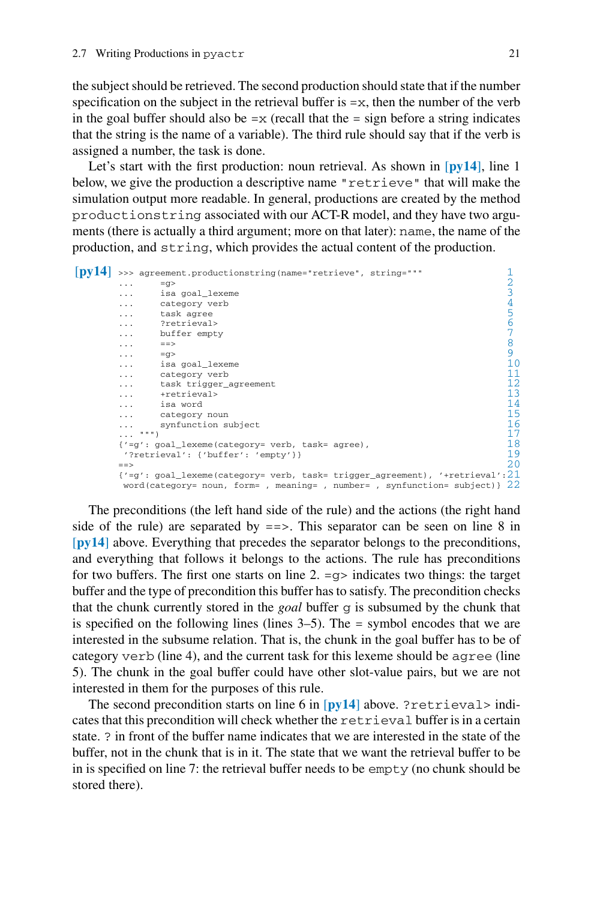the subject should be retrieved. The second production should state that if the number specification on the subject in the retrieval buffer is  $=x$ , then the number of the verb in the goal buffer should also be  $=x$  (recall that the  $=$  sign before a string indicates that the string is the name of a variable). The third rule should say that if the verb is assigned a number, the task is done.

Let's start with the first production: noun retrieval. As shown in [**[py14](#page-14-0)**], line 1 below, we give the production a descriptive name "retrieve" that will make the simulation output more readable. In general, productions are created by the method productionstring associated with our ACT-R model, and they have two arguments (there is actually a third argument; more on that later): name, the name of the production, and string, which provides the actual content of the production.

```
[py14] >>> agreement.productionstring(name="retrieve", string=""" 1<br>
\cdots =g><br>
\cdots isa goal_lexeme 3
          isa goal_lexeme 3<br>
category verb 3
     ... category verb 4<br>... task agree
     ... task agree 5<br>... ?retrieval> 5
     ... ?retrieval> 6<br>
... buffer empty
     ... buffer empty \begin{array}{ccc} 7 & 7 \\ \dots & = & \end{array}\ldots ==> 8
     \ldots =g> 9
     ... isa goal_lexeme 10<br>... category verb 11
         ... category verb 11<br>task trigger agreement 12
     ... task trigger_agreement 12<br>12<br>13 13
     ... +retrieval> 13<br>
... isa word 14
     ... isa word<br>... isa word<br>... category noun 15
     ... category noun 15<br>15 ... synfunction subject.
     ... synfunction subject 16<br>... """) 17
     ... """) 17
{'=g': goal_lexeme(category= verb, task= agree), 18
     '?retrieval': {'buffer': 'empty'}} 19 ==> 20
{'=g': goal_lexeme(category= verb, task= trigger_agreement), '+retrieval':21
      word(category= noun, form= , meaning= , number= , synfunction= subject)} 22
```
The preconditions (the left hand side of the rule) and the actions (the right hand side of the rule) are separated by  $==$ . This separator can be seen on line 8 in [**[py14](#page-14-0)**] above. Everything that precedes the separator belongs to the preconditions, and everything that follows it belongs to the actions. The rule has preconditions for two buffers. The first one starts on line 2.  $=\infty$  indicates two things: the target buffer and the type of precondition this buffer has to satisfy. The precondition checks that the chunk currently stored in the *goal* buffer g is subsumed by the chunk that is specified on the following lines (lines  $3-5$ ). The = symbol encodes that we are interested in the subsume relation. That is, the chunk in the goal buffer has to be of category verb (line 4), and the current task for this lexeme should be agree (line 5). The chunk in the goal buffer could have other slot-value pairs, but we are not interested in them for the purposes of this rule.

The second precondition starts on line 6 in [**[py14](#page-14-0)**] above. ?retrieval> indicates that this precondition will check whether the retrieval buffer is in a certain state. ? in front of the buffer name indicates that we are interested in the state of the buffer, not in the chunk that is in it. The state that we want the retrieval buffer to be in is specified on line 7: the retrieval buffer needs to be empty (no chunk should be stored there).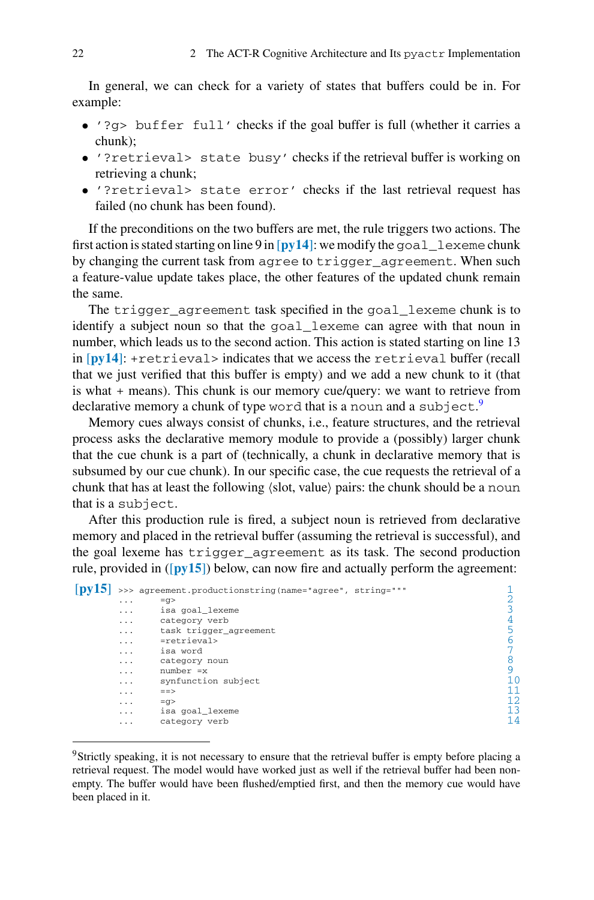In general, we can check for a variety of states that buffers could be in. For example:

- '?g> buffer full' checks if the goal buffer is full (whether it carries a chunk);
- '?retrieval> state busy' checks if the retrieval buffer is working on retrieving a chunk;
- '?retrieval> state error' checks if the last retrieval request has failed (no chunk has been found).

If the preconditions on the two buffers are met, the rule triggers two actions. The first action is stated starting on line  $9$  in  $[py14]$  $[py14]$  $[py14]$ : we modify the goal lexeme chunk by changing the current task from agree to trigger\_agreement. When such a feature-value update takes place, the other features of the updated chunk remain the same.

The trigger agreement task specified in the goal lexeme chunk is to identify a subject noun so that the goal\_lexeme can agree with that noun in number, which leads us to the second action. This action is stated starting on line 13 in [**[py14](#page-14-0)**]: +retrieval> indicates that we access the retrieval buffer (recall that we just verified that this buffer is empty) and we add a new chunk to it (that is what + means). This chunk is our memory cue/query: we want to retrieve from declarative memory a chunk of type word that is a noun and a subject.<sup>9</sup>

Memory cues always consist of chunks, i.e., feature structures, and the retrieval process asks the declarative memory module to provide a (possibly) larger chunk that the cue chunk is a part of (technically, a chunk in declarative memory that is subsumed by our cue chunk). In our specific case, the cue requests the retrieval of a chunk that has at least the following  $\langle$ slot, value $\rangle$  pairs: the chunk should be a noun that is a subject.

After this production rule is fired, a subject noun is retrieved from declarative memory and placed in the retrieval buffer (assuming the retrieval is successful), and the goal lexeme has trigger\_agreement as its task. The second production rule, provided in ([**[py15](#page-15-0)**]) below, can now fire and actually perform the agreement:

```
[DY15] >>> agreement.productionstring(name="agree", string=""" 1<br>2<br>1<br>3<br>3
         ... isa goal_lexeme<br>
... category verb<br>
... task trigger_agreement<br>
... =retrieval><br>
... isa word<br>
... category noun<br>
3<br>
3<br>
3<br>
5<br>
5<br>
3<br>
5<br>
3<br>
5<br>
7<br>
3<br>
3<br>
3<br>
5<br>
5<br>
5<br>
7<br>
3<br>
3<br>
8
         ... category verb
         ... task trigger_agreement 5 ... =retrieval> 6 ... isa word 7
         ... category noun 8<br>
example to the set of the set of the set of the set of the set of the set of the set of the set of the set of the set of the set of the set of the set of the set of the set of the set of the set of the
         ... number =x 9
         ... synfunction subject 10<br>... ==> 11
         ... ==> 11
         \ldots =g> 12
         ... =g><br>... isa goal_lexeme 13<br>... category verb
         ... category verb
```
<sup>9</sup>Strictly speaking, it is not necessary to ensure that the retrieval buffer is empty before placing a retrieval request. The model would have worked just as well if the retrieval buffer had been nonempty. The buffer would have been flushed/emptied first, and then the memory cue would have been placed in it.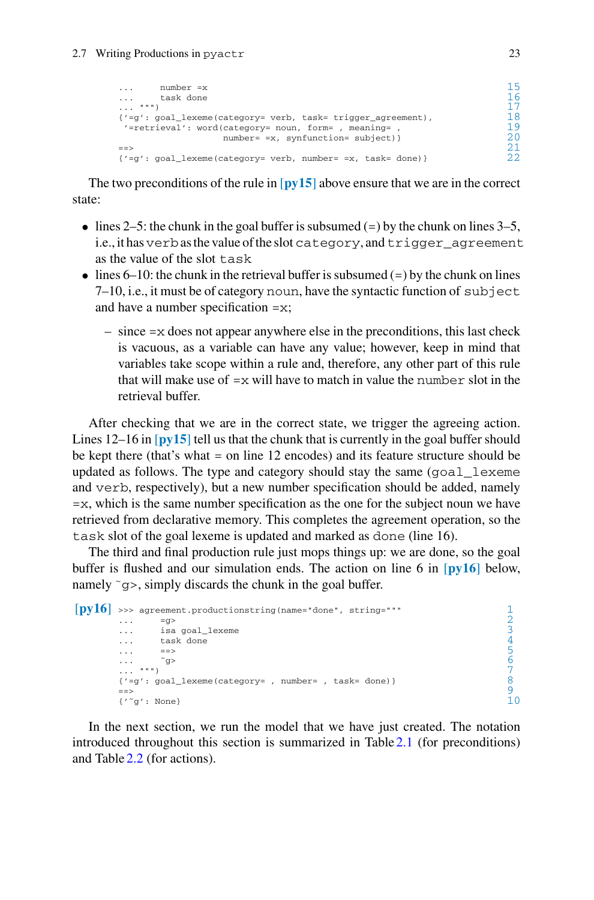```
... number =x 15<br>... task done 16<br>... """) 17
     task done 16 and 16 and 16 and 16 and 16 and 17 and 17 and 17 and 17 and 17 and 17 and 17 and 17 and 17 and 17
... """) 17
{'=g': goal_lexeme(category= verb, task= trigger_agreement), 18
'=retrieval': word(category= noun, form= , meaning= , 19<br>
number= = x synfunction= subject) }<br>
20
                 number= =x, synfunction= subject)} 20<br>21
\Rightarrow 21
{'=q': qoal\_lexeme(cateqory= verb, number= =x, task= done)} 22
```
The two preconditions of the rule in [**[py15](#page-15-0)**] above ensure that we are in the correct state:

- lines 2–5: the chunk in the goal buffer is subsumed  $(=)$  by the chunk on lines 3–5, i.e., it has verbas the value of the slot category, and trigger agreement as the value of the slot task
- lines 6–10: the chunk in the retrieval buffer is subsumed  $(=)$  by the chunk on lines 7–10, i.e., it must be of category noun, have the syntactic function of subject and have a number specification =x;
	- $-$  since  $=x$  does not appear anywhere else in the preconditions, this last check is vacuous, as a variable can have any value; however, keep in mind that variables take scope within a rule and, therefore, any other part of this rule that will make use of  $=x$  will have to match in value the number slot in the retrieval buffer.

After checking that we are in the correct state, we trigger the agreeing action. Lines 12–16 in **[[py15](#page-15-0)]** tell us that the chunk that is currently in the goal buffer should be kept there (that's what = on line 12 encodes) and its feature structure should be updated as follows. The type and category should stay the same  $(qoal \leq l$ exeme and verb, respectively), but a new number specification should be added, namely  $=x$ , which is the same number specification as the one for the subject noun we have retrieved from declarative memory. This completes the agreement operation, so the task slot of the goal lexeme is updated and marked as done (line 16).

The third and final production rule just mops things up: we are done, so the goal buffer is flushed and our simulation ends. The action on line 6 in [**[py16](#page-16-0)**] below, namely  $\tilde{q}$ , simply discards the chunk in the goal buffer.

```
[py16] >>> agreement.productionstring(name="done", string=""" 1<br>
... =g><br>
... isa goal lexeme 3
    ... =g><br>... isa goal_lexeme 3<br>... task done 3
    ... task done 4
    \ldots ==> 5
    \ldots \approx \approx 6
    ... """) 7
   {'=g': goal_lexeme(category= , number= , task= done)} 8 ==> 9
    \{f^{\prime\,\,\alpha}q'\colon\,\text{None}\} 10
```
In the next section, we run the model that we have just created. The notation introduced throughout this section is summarized in Table [2.1](#page-17-0) (for preconditions) and Table [2.2](#page-17-1) (for actions).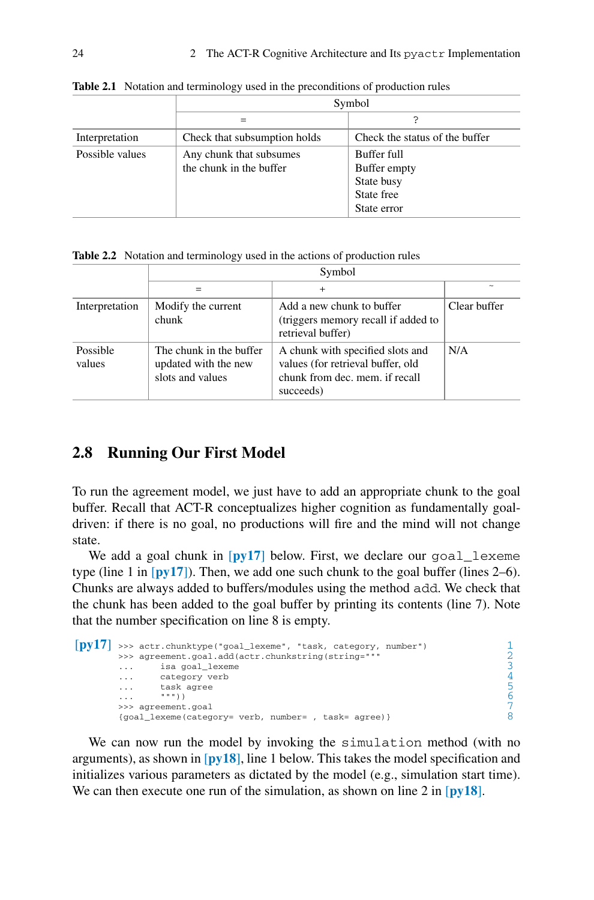|                 | Symbol                                             |                                                                        |  |
|-----------------|----------------------------------------------------|------------------------------------------------------------------------|--|
|                 | $=$                                                |                                                                        |  |
| Interpretation  | Check that subsumption holds                       | Check the status of the buffer                                         |  |
| Possible values | Any chunk that subsumes<br>the chunk in the buffer | Buffer full<br>Buffer empty<br>State busy<br>State free<br>State error |  |

<span id="page-17-0"></span>**Table 2.1** Notation and terminology used in the preconditions of production rules

<span id="page-17-1"></span>**Table 2.2** Notation and terminology used in the actions of production rules

|                    | Symbol                                                              |                                                                                                                      |              |
|--------------------|---------------------------------------------------------------------|----------------------------------------------------------------------------------------------------------------------|--------------|
|                    |                                                                     | $^{+}$                                                                                                               |              |
| Interpretation     | Modify the current<br>chunk                                         | Add a new chunk to buffer<br>(triggers memory recall if added to<br>retrieval buffer)                                | Clear buffer |
| Possible<br>values | The chunk in the buffer<br>updated with the new<br>slots and values | A chunk with specified slots and<br>values (for retrieval buffer, old<br>chunk from dec. mem. if recall<br>succeeds) | N/A          |

### **2.8 Running Our First Model**

To run the agreement model, we just have to add an appropriate chunk to the goal buffer. Recall that ACT-R conceptualizes higher cognition as fundamentally goaldriven: if there is no goal, no productions will fire and the mind will not change state.

We add a goal chunk in **[[py17](#page-17-2)]** below. First, we declare our goal\_lexeme type (line 1 in [**[py17](#page-17-2)**]). Then, we add one such chunk to the goal buffer (lines 2–6). Chunks are always added to buffers/modules using the method add. We check that the chunk has been added to the goal buffer by printing its contents (line 7). Note that the number specification on line 8 is empty.

```
[py17] >>> actr.chunktype("goal_lexeme", "task, category, number") <br>>>> agreement.goal.add(actr.chunkstring(string=""" <br>1<br>3<br>3
       >>> agreement.goal.add(actr.chunkstring(string=""
       ... isa_goal_lexeme                      3<br>... category_verb                      4
       ... category verb \frac{4}{5}... task agree 5<br>... """) 5<br>>>> agreement goal
       ... """)) 6
       >>> agreement.goal 7
       {goal_lexeme(category= verb, number= , task= agree)} 8
```
We can now run the model by invoking the simulation method (with no arguments), as shown in [**[py18](#page-18-0)**], line 1 below. This takes the model specification and initializes various parameters as dictated by the model (e.g., simulation start time). We can then execute one run of the simulation, as shown on line 2 in [**[py18](#page-18-0)**].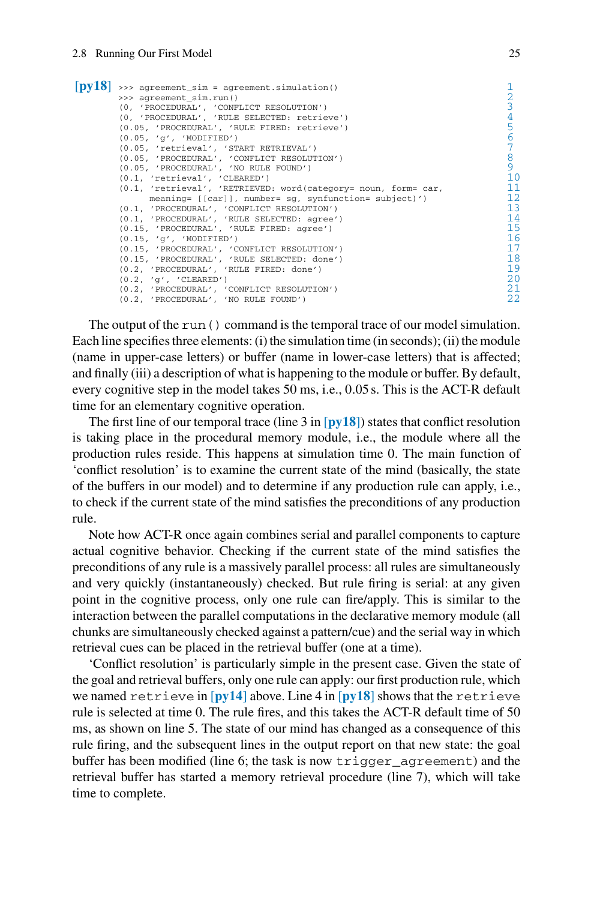```
[py18] \rightarrow\rightarrow agreement_sim = agreement.simulation() 1<br>
\rightarrow\rightarrow agreement.sim.run() 2
         >>> agreement_sim.run() 2
         (0, 'PROCEDURAL', 'CONFLICT RESOLUTION')<br>(0. 'PROCEDURAL', 'RULE SELECTED: retrieve') 3
         (0, 'PROCEDURAL', 'RULE SELECTED: retrieve') 4
         (0.05, 'PROCEDURAL', 'RULE FIRED: retrieve')<br>(0.05, 'q', 'MODIFIED') 5
         (0.05, 'g', 'MODIFIED') 6<br>
(0.05, 'refrieval'. 'START RETRITEVAL') 7
         (0.05, 'retrieval', 'START RETRIEVAL') 7
         (0.05, 'PROCEDURAL', 'CONFLICT RESOLUTION') 8<br>
(0.05, 'PROCEDURAL', 'NO RULE FOUND') 9
         (0.05, 'PROCEDURAL', 'NO RULE FOUND') 9
(0.1, 'retrieval', 'CLEARED') 10
(0.1, 'retrieval', 'RETRIEVED: word(category= noun, form= car, 11
               meaning= [(car)], number= sg, synfunction= subject)') 12<br>'PROCEDIRAL', 'CONFLICT RESOLUTION') 13(0.1, 'PROCEDURAL', 'CONFLICT RESOLUTION') 13
(0.1, 'PROCEDURAL', 'RULE SELECTED: agree') 14
         (0.15, 'PROCEDURAL', 'RULE FIRED: agree') 15<br>(0.15, 'g', 'MODIFIED') 16(0.15, 'g', 'MODIFIED') 16<br>
(0.15, 'g', 'MODIFIED') 16<br>
(0.15, 'PROCEDURAL'. 'CONFLICT RESOLUTION') 17
         (0.15, 'PROCEDURAL', 'CONFLICT RESOLUTION') 17
(0.15, 'PROCEDURAL', 'RULE SELECTED: done') 18
(0.2, 'PROCEDURAL', 'RULE FIRED: done') 19
         (0.2, 'g', 'CLEARED') 20<br>
(0.2, 'PROCEDITRAL', 'CONFLICT RESOLUTION') 21
         (0.2, 'PROCEDURAL', 'CONFLICT RESOLUTION') 21
(0.2, 'PROCEDURAL', 'NO RULE FOUND') 22
```
The output of the run() command is the temporal trace of our model simulation. Each line specifies three elements: (i) the simulation time (in seconds); (ii) the module (name in upper-case letters) or buffer (name in lower-case letters) that is affected; and finally (iii) a description of what is happening to the module or buffer. By default, every cognitive step in the model takes 50 ms, i.e., 0.05 s. This is the ACT-R default time for an elementary cognitive operation.

The first line of our temporal trace (line 3 in [**[py18](#page-18-0)**]) states that conflict resolution is taking place in the procedural memory module, i.e., the module where all the production rules reside. This happens at simulation time 0. The main function of 'conflict resolution' is to examine the current state of the mind (basically, the state of the buffers in our model) and to determine if any production rule can apply, i.e., to check if the current state of the mind satisfies the preconditions of any production rule.

Note how ACT-R once again combines serial and parallel components to capture actual cognitive behavior. Checking if the current state of the mind satisfies the preconditions of any rule is a massively parallel process: all rules are simultaneously and very quickly (instantaneously) checked. But rule firing is serial: at any given point in the cognitive process, only one rule can fire/apply. This is similar to the interaction between the parallel computations in the declarative memory module (all chunks are simultaneously checked against a pattern/cue) and the serial way in which retrieval cues can be placed in the retrieval buffer (one at a time).

'Conflict resolution' is particularly simple in the present case. Given the state of the goal and retrieval buffers, only one rule can apply: our first production rule, which we named retrieve in [**[py14](#page-14-0)**] above. Line 4 in [**[py18](#page-18-0)**] shows that the retrieve rule is selected at time 0. The rule fires, and this takes the ACT-R default time of 50 ms, as shown on line 5. The state of our mind has changed as a consequence of this rule firing, and the subsequent lines in the output report on that new state: the goal buffer has been modified (line 6; the task is now trigger\_agreement) and the retrieval buffer has started a memory retrieval procedure (line 7), which will take time to complete.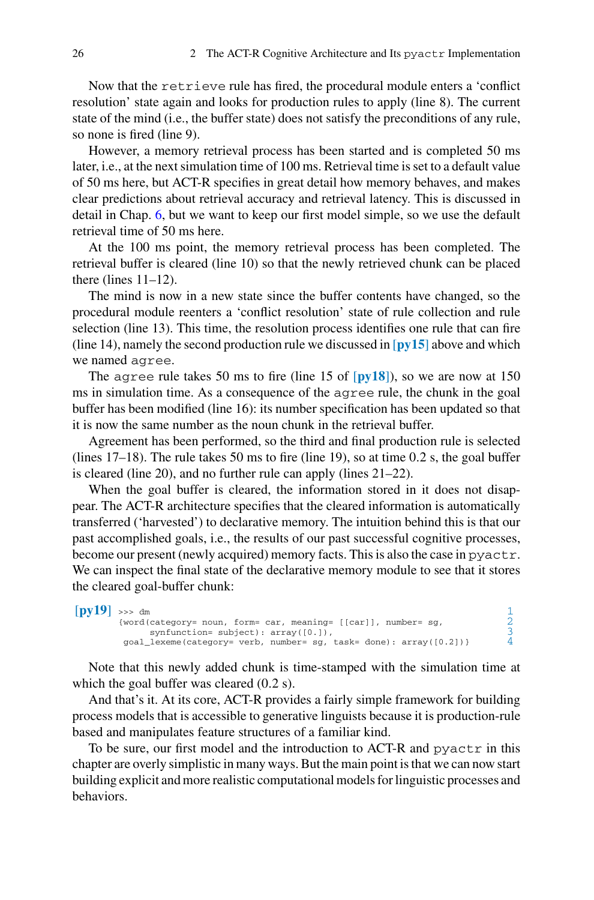Now that the retrieve rule has fired, the procedural module enters a 'conflict resolution' state again and looks for production rules to apply (line 8). The current state of the mind (i.e., the buffer state) does not satisfy the preconditions of any rule, so none is fired (line 9).

However, a memory retrieval process has been started and is completed 50 ms later, i.e., at the next simulation time of 100 ms. Retrieval time is set to a default value of 50 ms here, but ACT-R specifies in great detail how memory behaves, and makes clear predictions about retrieval accuracy and retrieval latency. This is discussed in detail in Chap. 6, but we want to keep our first model simple, so we use the default retrieval time of 50 ms here.

At the 100 ms point, the memory retrieval process has been completed. The retrieval buffer is cleared (line 10) so that the newly retrieved chunk can be placed there (lines  $11-12$ ).

The mind is now in a new state since the buffer contents have changed, so the procedural module reenters a 'conflict resolution' state of rule collection and rule selection (line 13). This time, the resolution process identifies one rule that can fire (line 14), namely the second production rule we discussed in [**[py15](#page-15-0)**] above and which we named agree.

The agree rule takes 50 ms to fire (line 15 of [**[py18](#page-18-0)**]), so we are now at 150 ms in simulation time. As a consequence of the agree rule, the chunk in the goal buffer has been modified (line 16): its number specification has been updated so that it is now the same number as the noun chunk in the retrieval buffer.

Agreement has been performed, so the third and final production rule is selected (lines  $17-18$ ). The rule takes 50 ms to fire (line 19), so at time 0.2 s, the goal buffer is cleared (line 20), and no further rule can apply (lines 21–22).

When the goal buffer is cleared, the information stored in it does not disappear. The ACT-R architecture specifies that the cleared information is automatically transferred ('harvested') to declarative memory. The intuition behind this is that our past accomplished goals, i.e., the results of our past successful cognitive processes, become our present (newly acquired) memory facts. This is also the case in pyactr. We can inspect the final state of the declarative memory module to see that it stores the cleared goal-buffer chunk:

```
[py19] >>> dm 1
{word(category= noun, form= car, meaning= [[car]], number= sg, 2
               synfunction= subject): array([0.]), 3<br>
lexeme(stegory= yerb, number= sq, task= done): array([0.3]), 4
          goal_lexeme(category= verb, number= sg, task= done): array([0.2])} 4
```
Note that this newly added chunk is time-stamped with the simulation time at which the goal buffer was cleared  $(0.2 \text{ s})$ .

And that's it. At its core, ACT-R provides a fairly simple framework for building process models that is accessible to generative linguists because it is production-rule based and manipulates feature structures of a familiar kind.

To be sure, our first model and the introduction to ACT-R and pyactr in this chapter are overly simplistic in many ways. But the main point is that we can now start building explicit and more realistic computational models for linguistic processes and behaviors.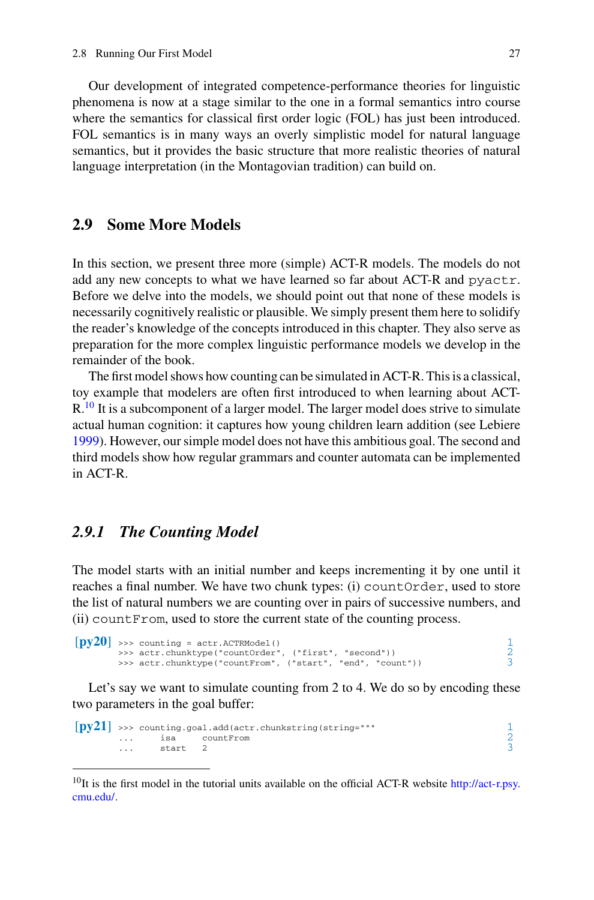Our development of integrated competence-performance theories for linguistic phenomena is now at a stage similar to the one in a formal semantics intro course where the semantics for classical first order logic (FOL) has just been introduced. FOL semantics is in many ways an overly simplistic model for natural language semantics, but it provides the basic structure that more realistic theories of natural language interpretation (in the Montagovian tradition) can build on.

### **2.9 Some More Models**

In this section, we present three more (simple) ACT-R models. The models do not add any new concepts to what we have learned so far about ACT-R and pyactr. Before we delve into the models, we should point out that none of these models is necessarily cognitively realistic or plausible. We simply present them here to solidify the reader's knowledge of the concepts introduced in this chapter. They also serve as preparation for the more complex linguistic performance models we develop in the remainder of the book.

The first model shows how counting can be simulated in ACT-R. This is a classical, toy example that modelers are often first introduced to when learning about ACT- $R<sup>10</sup>$  It is a subcomponent of a larger model. The larger model does strive to simulate actual human cognition: it captures how young children learn addition (see Lebiere 1999). However, our simple model does not have this ambitious goal. The second and third models show how regular grammars and counter automata can be implemented in ACT-R.

### *2.9.1 The Counting Model*

The model starts with an initial number and keeps incrementing it by one until it reaches a final number. We have two chunk types: (i) countOrder, used to store the list of natural numbers we are counting over in pairs of successive numbers, and (ii) countFrom, used to store the current state of the counting process.

```
[py20] \implies \text{counting} = \text{actr}.\text{ACTRModel}() 1<br>
\implies \text{actr}.\text{chunktype("countFrom" ("start". "end" "count")) 2<br>
\implies \text{actr}.\text{chunktype("countFrom" ("start". "end" "count"))>>> actr.chunktype("countOrder", ("first", "second")) 2
              >>> actr.chunktype("countFrom", ("start", "end", "count"))
```
Let's say we want to simulate counting from 2 to 4. We do so by encoding these two parameters in the goal buffer:

```
[py21] >>> counting.goal.add(actr.chunkstring(string=""" 1 ... isa countFrom 2 \ldots start 2 3
```
 $10$ It is the first model in the tutorial units available on the official ACT-R website [http://act-r.psy.](http://act-r.psy.cmu.edu/) [cmu.edu/.](http://act-r.psy.cmu.edu/)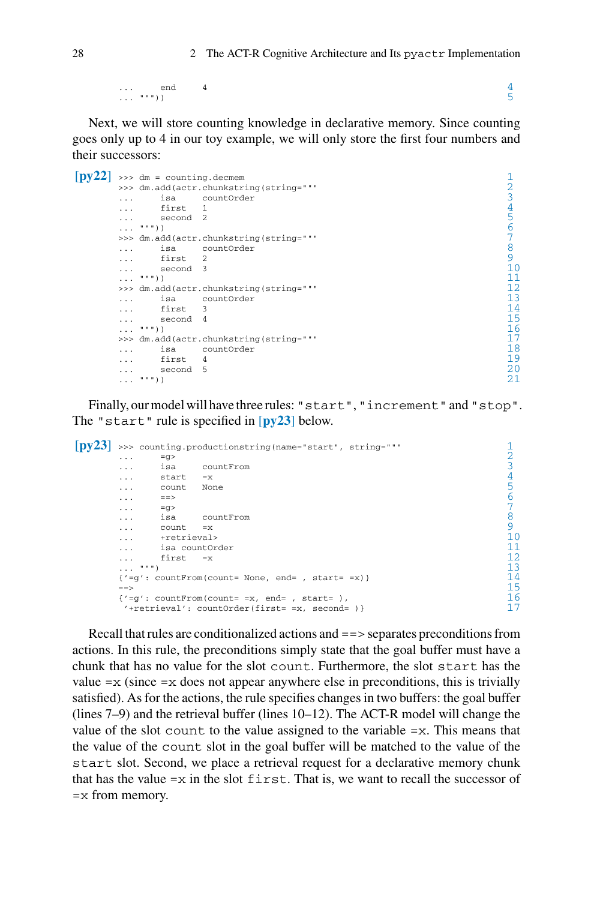... end 4  $\frac{4}{5}$ ... """)) 5

Next, we will store counting knowledge in declarative memory. Since counting goes only up to 4 in our toy example, we will only store the first four numbers and their successors:

```
[py22] \implies dm = counting.decmem<br>
\implies dm = add(actr, chunkstring(string = " " " 2>>> dm.add(actr.chunkstring(string=""" 2<br>
... isa countOrder 3
    ... isa countOrder 1<br>3<br>4 (1992)
    \ldots first 1 4... second 2 5
    ... """)) 6
    >>> dm.add(actr.chunkstring(string=""" 7<br>
... isa countOrder 8
    ... isa countOrder 8 ... first 2 9 ... second 3 10
    ... """)) 11
    >>> dm.add(actr.chunkstring(string=""" 12 ... isa countOrder 13<br>... first 3 14
    ... first 3 14
    ... second 4 15<br>
... """) 16
    >>> dm.add(actr.chunkstring(string=""" 17 ... isa countOrder 18 ... 18 ... 18 ... 18 ... 19<br>... first 4 ... 19
    ... second 5 20 (20 - 21)... """))
```
Finally, our model will have three rules:"start","increment"and "stop". The "start" rule is specified in [**[py23](#page-21-0)**] below.

```
[py23] \rightarrow\rightarrow counting.productionstring(name="start", string=""" 1<br>2<br>1<br>3
    ... isa countFrom 3 ... isa countFrom<br>... start =x 4<br>... count None
    ... count None 5<br>... ==> 6
    \ldots ==> 6
    \ldots =g> 7
    ... isa countFrom 8 ... count =x 9 ... +retrieval> 10<br>
is a count Order 11
    ... isa countOrder 11<br>... first =x 12
    \ldots first =x 12
    ... """) 13
    {'s'=g': countFrom(count = None, end = , start = -x)} 14<br>==> 15
    = = > 15
    {'s'=g': countFrom(count==x, end= , start= )},<br>'+retrieval': countOrder(first= =x, second= )} 17'+retrieval': countOrder(first= =x, second= ) }
```
Recall that rules are conditionalized actions and ==> separates preconditions from actions. In this rule, the preconditions simply state that the goal buffer must have a chunk that has no value for the slot count. Furthermore, the slot start has the value  $=x$  (since  $=x$  does not appear anywhere else in preconditions, this is trivially satisfied). As for the actions, the rule specifies changes in two buffers: the goal buffer (lines 7–9) and the retrieval buffer (lines 10–12). The ACT-R model will change the value of the slot count to the value assigned to the variable =x. This means that the value of the count slot in the goal buffer will be matched to the value of the start slot. Second, we place a retrieval request for a declarative memory chunk that has the value  $=x$  in the slot first. That is, we want to recall the successor of =x from memory.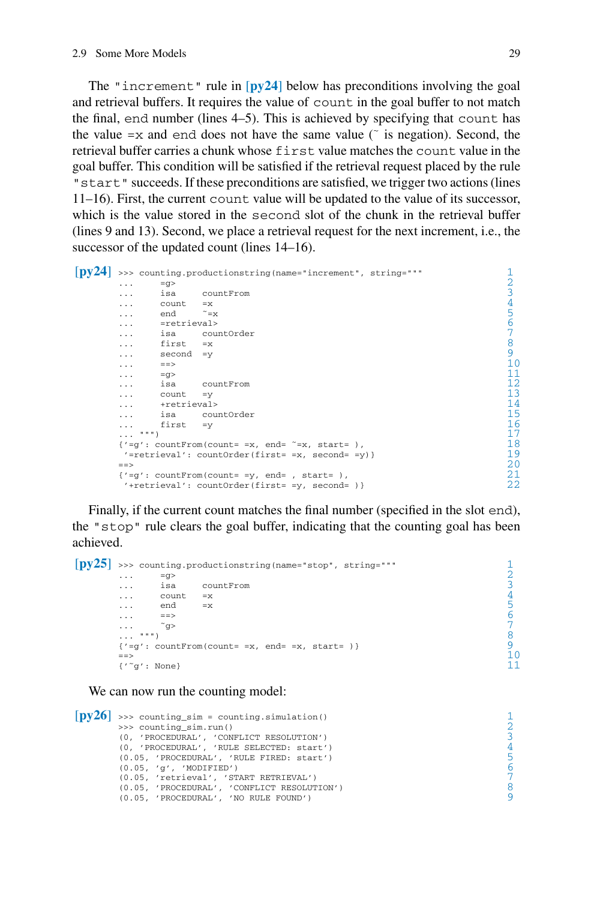#### 2.9 Some More Models 29

The "increment" rule in [**[py24](#page-22-0)**] below has preconditions involving the goal and retrieval buffers. It requires the value of count in the goal buffer to not match the final, end number (lines 4–5). This is achieved by specifying that count has the value  $=x$  and end does not have the same value ( $\tilde{ }$  is negation). Second, the retrieval buffer carries a chunk whose first value matches the count value in the goal buffer. This condition will be satisfied if the retrieval request placed by the rule "start" succeeds. If these preconditions are satisfied, we trigger two actions (lines 11–16). First, the current count value will be updated to the value of its successor, which is the value stored in the second slot of the chunk in the retrieval buffer (lines 9 and 13). Second, we place a retrieval request for the next increment, i.e., the successor of the updated count (lines 14–16).

```
[py24] >>> counting.productionstring(name="increment", string=""" 1<br>
\cdots =g><br>
\cdots is countFrom 3
    ... isa countFrom 3 \therefore count =x 4<br>\therefore end \stackrel{=}{\leq} 5
    \ldots end \tilde{z} = x 5
    ... =retrieval> 6 ... isa countOrder 7<br>... first =x 8
    \ldots first =x 8
    ... second =y 9<br>... ==> 9<br>10
    \ldots ==> 10
    \ldots =g> 11
    ... isa countFrom 12
    ... count =y 13<br>
... count =y 13<br>
... +retrieval>
    ... +retrieval> 14 ... isa countOrder 15<br>... first =y 16
    \ldots first =y 16
    ... """) 17
{'=g': countFrom(count= =x, end= ˜=x, start= ), 18
    \frac{1}{2}<br>'=retrieval': countOrder(first= =x, second= =y)} \frac{19}{20}= => 20
    {'=g': countFrom(count= =y, end= , start= ),<br>'+retrieval': countOrder(first= =v, second= )}<br>22
     '+retrieval': countOrder(first= =y, second= ) }
```
Finally, if the current count matches the final number (specified in the slot end), the "stop" rule clears the goal buffer, indicating that the counting goal has been achieved.

```
[py25] >>> counting.productionstring(name="stop", string=""" 1<br>
... =g><br>
... isa countFrom 3
   ... isa countFrom 3 \ldots count =x 4
   \ldots end =x 5
   \ldots ==> 6
   ... ˜g> 7
   ... """) 8
   {' = g': countFrom(count= =x, end= =x, start= )} 9<br>==> 10
   = = > 10
   \{f^{\prime\prime}g^{\prime}: \text{ None}\} 11
```
We can now run the counting model:

```
[py26] \implies \text{counting} \text{ is } = \text{counting} \cdot \text{simulation} () \implies \text{counting} \cdot \text{sim} \cdot \text{num} () 2
          >>> counting_sim.run() 2<br>(0. 'PROCEDURAL', 'CONFLICT RESOLUTION') 2
          (0, 'PROCEDURAL', 'CONFLICT RESOLUTION')<br>(0, 'PROCEDURAL', 'RULE SELECTED: start') 3
          (0, 'PROCEDURAL', 'RULE SELECTED: start') 4
          (0.05, 'PROCEDURAL', 'RULE FIRED: start')<br>
(0.05, 'g', 'MODIFIED') 5
          (0.05, 'g', 'MODIFIED') 6
(0.05, 'retrieval', 'START RETRIEVAL') 7
(0.05, 'PROCEDURAL', 'CONFLICT RESOLUTION') 8
(0.05, 'PROCEDURAL', 'NO RULE FOUND') 9
```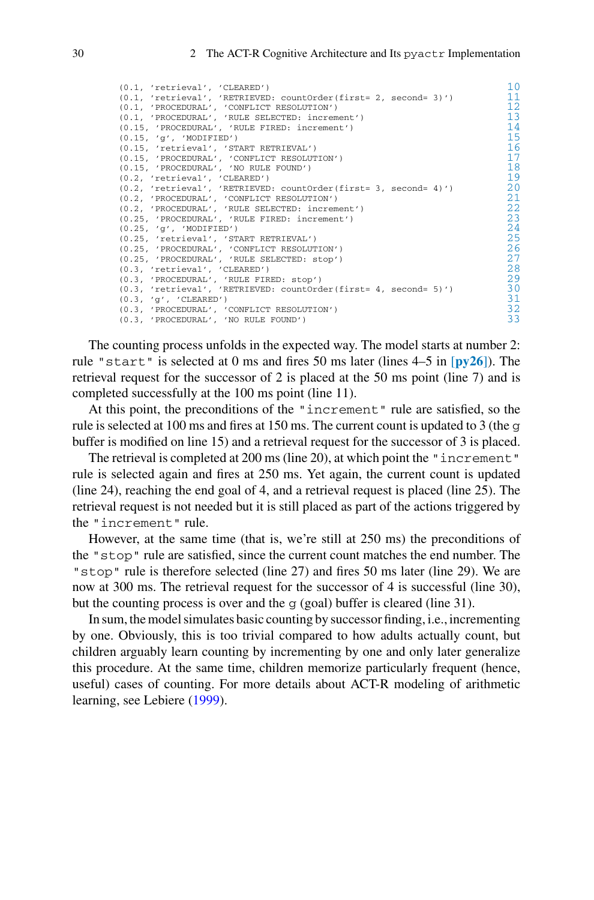```
(0.1, 'retrieval', 'CLEARED') 10<br>(0.1, 'retrieval', 'RETRIEVED: countOrder(first= 2, second= 3)') 11
(0.1, 'retrieval', 'RETRIEVED: countOrder(first= 2, second= 3)') 11<br>(0.1, 'PROCFDITERI', 'CONRELIC" REGORITHM') 12
(0.1, 'PROCEDURAL', 'CONFLICT RESOLUTION')<br>(0.1, 'PROCEDURAL', 'RULE SELECTED: increment') 13
(0.1, 'PROCEDURAL', 'RULE SELECTED: increment') 13
(0.15, 'PROCEDURAL', 'RULE FIRED: increment') 14<br>(0.15, 'q', 'MODIFIED') 15(0.15, 'g', 'MODIFIED') 15
(0.15, 'retrieval', 'START RETRIEVAL') 16
(0.15, 'PROCEDURAL', 'CONFLICT RESOLUTION') 17<br>(0.15, 'PROCEDURAL', 'NO RULE FOUND') 18(0.15, 'PROCEDURAL', 'NO RULE FOUND') 18<br>
(0.2. 'retrieval', 'CLEARED') 19
(0.2, 'retrieval', 'CLEARED') 19
(0.2, 'retrieval', 'RETRIEVED: countOrder(first= 3, second= 4)') 20
(0.2, 'PROCEDURAL', 'CONFLICT RESOLUTION') 21
(0.2, 'PROCEDURAL', 'RULE SELECTED: increment') 22
(0.25, 'PROCEDURAL', 'RULE FIRED: increment') 23<br>(0.25, 'a', 'MODIFIED') 24(0.25, 'g', 'MODIFIED') 24
(0.25, 'retrieval', 'START RETRIEVAL') 25
(0.25, 'PROCEDURAL', 'CONFLICT RESOLUTION') 26
(0.25, 'PROCEDURAL', 'RULE SELECTED: stop') 27
(0.3, 'retrieval', 'CLEARED') 28
(0.3, 'PROCEDURAL', 'RULE FIRED: stop') 29
(0.3, 'retrieval', 'RETRIEVED: countOrder(first= 4, second= 5)') 30
(0.3, 'g', 'CLEARED')<br>
(0.3, 'PROCEDURAL', 'CONFLICT RESOLUTION') 32<br>
(0.3, 'PROCEDURAL', 'NO RULE FOUND') 33
```
The counting process unfolds in the expected way. The model starts at number 2: rule "start" is selected at 0 ms and fires 50 ms later (lines 4–5 in [**[py26](#page-22-1)**]). The retrieval request for the successor of 2 is placed at the 50 ms point (line 7) and is completed successfully at the 100 ms point (line 11).

At this point, the preconditions of the "increment" rule are satisfied, so the rule is selected at 100 ms and fires at 150 ms. The current count is updated to 3 (the g buffer is modified on line 15) and a retrieval request for the successor of 3 is placed.

The retrieval is completed at 200 ms (line 20), at which point the "increment" rule is selected again and fires at 250 ms. Yet again, the current count is updated (line 24), reaching the end goal of 4, and a retrieval request is placed (line 25). The retrieval request is not needed but it is still placed as part of the actions triggered by the "increment" rule.

However, at the same time (that is, we're still at 250 ms) the preconditions of the "stop" rule are satisfied, since the current count matches the end number. The "stop" rule is therefore selected (line 27) and fires 50 ms later (line 29). We are now at 300 ms. The retrieval request for the successor of 4 is successful (line 30), but the counting process is over and the g (goal) buffer is cleared (line 31).

In sum, the model simulates basic counting by successor finding, i.e., incrementing by one. Obviously, this is too trivial compared to how adults actually count, but children arguably learn counting by incrementing by one and only later generalize this procedure. At the same time, children memorize particularly frequent (hence, useful) cases of counting. For more details about ACT-R modeling of arithmetic learning, see Lebiere (1999).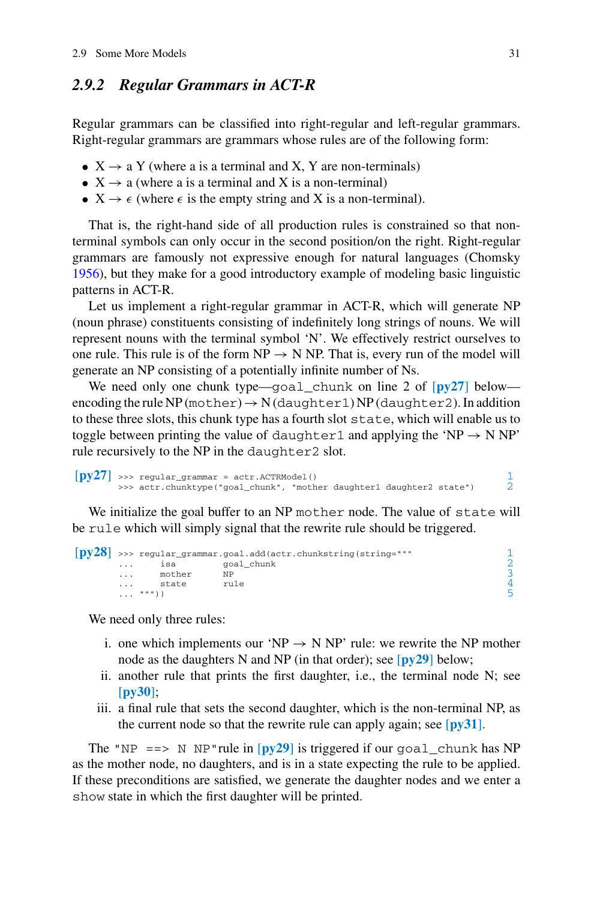### *2.9.2 Regular Grammars in ACT-R*

Regular grammars can be classified into right-regular and left-regular grammars. Right-regular grammars are grammars whose rules are of the following form:

- $X \rightarrow a Y$  (where a is a terminal and X, Y are non-terminals)
- $X \rightarrow a$  (where a is a terminal and X is a non-terminal)
- $X \rightarrow \epsilon$  (where  $\epsilon$  is the empty string and X is a non-terminal).

That is, the right-hand side of all production rules is constrained so that nonterminal symbols can only occur in the second position/on the right. Right-regular grammars are famously not expressive enough for natural languages (Chomsky 1956), but they make for a good introductory example of modeling basic linguistic patterns in ACT-R.

Let us implement a right-regular grammar in ACT-R, which will generate NP (noun phrase) constituents consisting of indefinitely long strings of nouns. We will represent nouns with the terminal symbol 'N'. We effectively restrict ourselves to one rule. This rule is of the form  $NP \rightarrow NP$ . That is, every run of the model will generate an NP consisting of a potentially infinite number of Ns.

We need only one chunk type—goal\_chunk on line 2 of [**[py27](#page-24-0)**] below encoding the rule NP (mother)  $\rightarrow$  N (daughter1) NP (daughter2). In addition to these three slots, this chunk type has a fourth slot state, which will enable us to toggle between printing the value of daughter1 and applying the 'NP  $\rightarrow$  N NP' rule recursively to the NP in the daughter2 slot.

```
[py27] \gg\gt regular_grammar = actr.ACTRModel() \ge 1 \ge 2 actr.chunktype("goal chunk", "mother daughter1 daughter2 state") 2
          >>> actr.chunktype("goal_chunk", "mother daughter1 daughter2 state")
```
We initialize the goal buffer to an NP mother node. The value of state will be rule which will simply signal that the rewrite rule should be triggered.

```
[py28] >>> regular_grammar.goal.add(actr.chunkstring(string=""" 1<br>
... isa goal_chunk 2<br>
... mother NP 3
     ... isa goal_chunk 2<br>... mother NP 3
     \ldots state rule 4... state rule \frac{4}{5}
```
We need only three rules:

- i. one which implements our 'NP  $\rightarrow$  N NP' rule: we rewrite the NP mother node as the daughters N and NP (in that order); see [**[py29](#page-25-0)**] below;
- ii. another rule that prints the first daughter, i.e., the terminal node N; see [**[py30](#page-25-1)**];
- iii. a final rule that sets the second daughter, which is the non-terminal NP, as the current node so that the rewrite rule can apply again; see [**[py31](#page-25-2)**].

The "NP  $==> N$  NP" rule in  $[py29]$  $[py29]$  $[py29]$  is triggered if our goal\_chunk has NP as the mother node, no daughters, and is in a state expecting the rule to be applied. If these preconditions are satisfied, we generate the daughter nodes and we enter a show state in which the first daughter will be printed.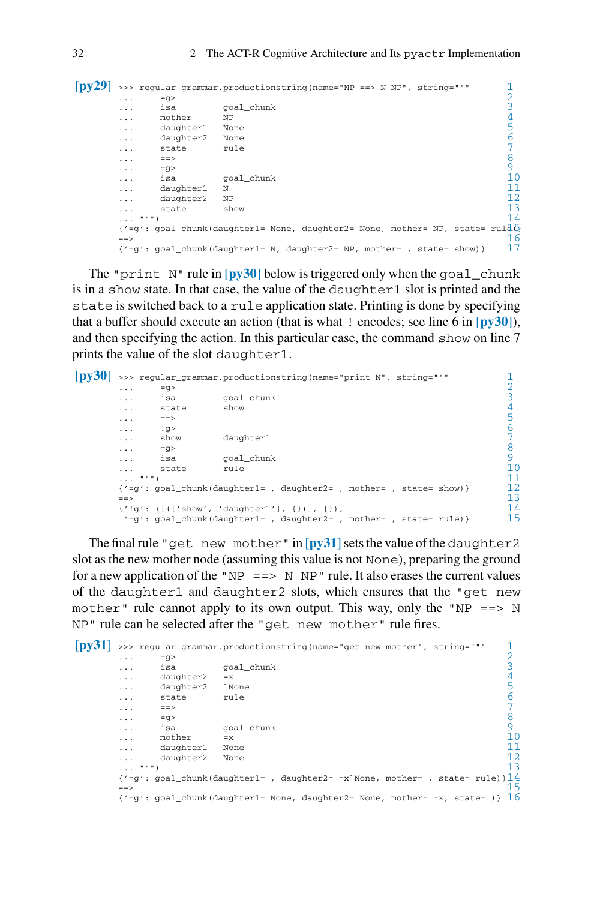```
[py29] >>> regular_grammar.productionstring(name="NP ==> N NP", string=""" 1 ... =g> 2
   ... isa goal_chunk 3
   ... mother NP 4
   ... daughter1 None 5
   ... daughter2 None 6 ... state rule 7
   \ldots ==> 8
   \ldots =g> 9
   ... isa goal_chunk 10
   ... daughter1 N<br>... daughter2 NP
   ... daughter2 NP<br>state show
   ... state show 13
   ... """) 14
   {'=g': goal_chunk(daughter1= None, daughter2= None, mother= NP, state= \text{rul}_5}<br>==> 16
   ==> 16
{'=g': goal_chunk(daughter1= N, daughter2= NP, mother= , state= show)} 17
```
The "print N" rule in [**[py30](#page-25-1)**] below is triggered only when the goal chunk is in a show state. In that case, the value of the daughter1 slot is printed and the state is switched back to a rule application state. Printing is done by specifying that a buffer should execute an action (that is what ! encodes; see line 6 in [**[py30](#page-25-1)**]), and then specifying the action. In this particular case, the command show on line 7 prints the value of the slot daughter1.

```
[py30] >>> regular_grammar.productionstring(name="print N", string=""" 1<br>2<br>1 ... isa qoal chunk 3
    ... isa goal_chunk 3 ... state show 4 \ldots ==> 5
    \cdots !g> 6
    ... !g><br>... show daughter1 7 7<br>... = \sigma> 8
    \ldots =g> 8
    ... isa goal_chunk 9<br>... isa goal_chunk 9<br>... state rule
    \ldots state rule 10\dots """) 11
    {'s' = g': goal\_chunk(daughter1 = , daughter2 = , mother = , state = show)} 12<br>==> 13
    ==> 13
{'!g': ([(['show', 'daughter1'], {})], {}), 14
     '=g': goal_chunk(daughter1= , daughter2= , mother= , state= rule)} 15
```
The final rule "get new mother" in  $[py31]$  $[py31]$  $[py31]$  sets the value of the daughter 2 slot as the new mother node (assuming this value is not None), preparing the ground for a new application of the "NP ==> N NP" rule. It also erases the current values of the daughter1 and daughter2 slots, which ensures that the "get new mother" rule cannot apply to its own output. This way, only the " $NP$  ==> N NP" rule can be selected after the "get new mother" rule fires.

```
[py31] >>> regular_grammar.productionstring(name="get new mother", string=""" 1 ... =g> 2
    ... isa goal_chunk 3
    \ldots daughter2 =x \frac{4}{4}... daughter2 ™one 5<br>... daughter2 ™one 5<br>... state rule 6
    ... state rule 6
    ... \Rightarrow 7
    \ldots =g> 8
    ... isa goal_chunk 9<br>... mother =x 10
    \dots mother =x 10
    ... daughter1 None<br>daughter2 None
    ... daughter2 None 12<br>... """) 13
    ... """) 13
{'=g': goal_chunk(daughter1= , daughter2= =x˜None, mother= , state= rule)}14 ==> 15
{'=g': goal_chunk(daughter1= None, daughter2= None, mother= =x, state= )} 16
```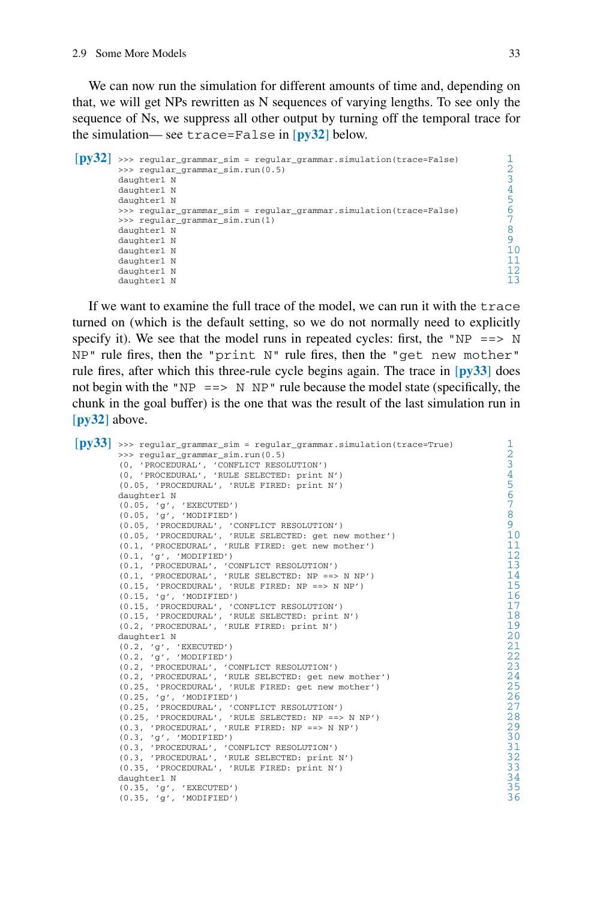We can now run the simulation for different amounts of time and, depending on that, we will get NPs rewritten as N sequences of varying lengths. To see only the sequence of Ns, we suppress all other output by turning off the temporal trace for the simulation— see trace=False in [**[py32](#page-26-0)**] below.

```
[py32] >>> regular_grammar_sim = regular_grammar.simulation(trace=False) 1
    >>> regular_grammar_sim.run(0.5) 2<br>daughter1 N
    daughter1 N<br>daughter1 N<br>4
    daughter1 N 4daughter1 N 5
>>> regular_grammar_sim = regular_grammar.simulation(trace=False) 6
    x regular_grammar_sim.run(1)<br>
\frac{1}{2}<br>
daughter1 N 3
    daughter1 N<br>daughter1 N<br>9
    daughter1 N<br>daughter1 N<br>10
    daughter1 N 10<br>daughter1 N 11
    daughter1 N 11<br>daughter1 N 12
    daughter1 N 12<br>daughter1 N 13
    daughter1 N 13
```
If we want to examine the full trace of the model, we can run it with the trace turned on (which is the default setting, so we do not normally need to explicitly specify it). We see that the model runs in repeated cycles: first, the "NP  $==> N$ NP" rule fires, then the "print N" rule fires, then the "get new mother" rule fires, after which this three-rule cycle begins again. The trace in [**[py33](#page-26-1)**] does not begin with the " $NP$  ==> N NP" rule because the model state (specifically, the chunk in the goal buffer) is the one that was the result of the last simulation run in [**[py32](#page-26-0)**] above.

```
[py33] \rightarrow \rightarrow \text{regular\_grammar\_sim} = \text{regular\_grammar}.\text{simulation}(trace=True) 1
         >>> regular_grammar_sim.run(0.5) 2
         (0, 'PROCEDURAL', 'CONFLICT RESOLUTION') 3
(0, 'PROCEDURAL', 'RULE SELECTED: print N') 4
         (0.05, 'PROCEDURAL', 'RULE FIRED: print N') 5<br>
daughter1 N
         daughter1 N<br>(0.05. 'q', 'EXECUTED') 30 = 0.05 = 0.05 = 0.05 = 0.05 = 0.05 = 0.05 = 0.05 = 0.05 = 0.05 = 0.05 = 0.05 = 0.05
         (0.05, 'g', 'EXECUTED') (0.05, 'g', 'MODIFIED') (8)(0.05, 'g', 'MODIFIED') 8<br>
(0.05, 'PROCEDURAL', 'CONFLICT RESOLUTION') 9<br>
(0.05, 'PROCEDURAL', 'RULE SELECTED: get new mother') 10<br>
(0.1, 'PROCEDURAL', 'RULE FIRED: get new mother') 11
         (0.1, 'g', 'MODIFIED') 12<br>(0.1, 'PROCEDURAL', 'COMFLICT RESOLUTION') 13
         (0.1, 'PROCEDURAL', 'CONFLICT RESOLUTION') 13<br>
(0.1, 'PROCEDURAL', 'RULE SELECTED: NP ==> N NP') 14
         (0.1, 'PROCEDURAL', 'RULE SELECTED: NP ==> N NP') 14
(0.15, 'PROCEDURAL', 'RULE FIRED: NP ==> N NP') 15
         (0.15, 'g', 'MODIFIED')<br>
(0.15, 'PROCEDURAL', 'CONFLICT RESOLUTION')<br>
17
         (0.15, 'PROCEDURAL', 'CONFLICT RESOLUTION') 17<br>(0.15, 'PROCEDURAL', 'RULE SELECTED: print N') 18(0.2, 'PROCEDURAL', 'RULE FIRED: print N') 19<br>daughter1 N 20
         daughter1 N \, 20
         (0.2, 'g', 'EXECUTED') 21
(0.2, 'g', 'MODIFIED') 22
(0.2, 'PROCEDURAL', 'CONFLICT RESOLUTION') 23
(0.2, 'PROCEDURAL', 'RULE SELECTED: get new mother') 24
         (0.25, 'PROCEDURAL', 'RULE FIRED: get new mother') 25<br>(0.25, 'a'. 'MONIDTFED') 26
         (0.25, 'g', 'MODIFIED') 26
(0.25, 'PROCEDURAL', 'CONFLICT RESOLUTION') 27
         (0.25, 'PROCEDURAL', 'RULE SELECTED: NP ==> N NP') 28
(0.3, 'PROCEDURAL', 'RULE FIRED: NP ==> N NP') 29
         (0.3, 'g', 'MODIFIED') 30<br>
(0.3, 'PROCEDIRAL', 'CONFLICT RESOLUTION') 31
         (0.3, 'PROCEDURAL', 'CONFLICT RESOLUTION') 31
(0.3, 'PROCEDURAL', 'RULE SELECTED: print N') 32
(0.35, 'PROCEDURAL', 'RULE FIRED: print N') 33
         daughter1 N 34<br>
(0.35, \alpha', 'EXECUTED')
         (0.35, 'g', 'EXECUTED') 35
(0.35, 'g', 'MODIFIED') 36
```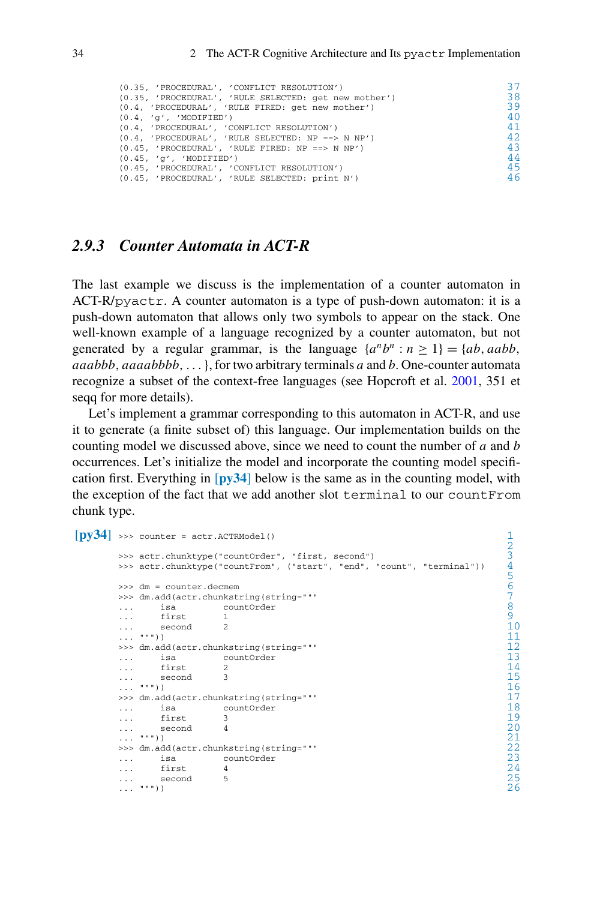| (0.35, 'PROCEDURAL', 'CONFLICT RESOLUTION')           | 37 |
|-------------------------------------------------------|----|
| (0.35, 'PROCEDURAL', 'RULE SELECTED: get new mother') | 38 |
| (0.4, 'PROCEDURAL', 'RULE FIRED: get new mother')     | 39 |
| (0.4. 'q'. 'MODIFFED')                                | 40 |
| (0.4, 'PROCEDURAL', 'CONFLICT RESOLUTION')            | 41 |
| $(0.4.$ 'PROCEDURAL', 'RULE SELECTED: NP ==> N NP')   | 42 |
| $(0.45, 'PROCEDURAL', 'RULE FIRED: NP == > N NP')$    | 43 |
| (0.45, 'q', 'MODIFIED')                               | 44 |
| (0.45, 'PROCEDURAL', 'CONFLICT RESOLUTION')           | 45 |
| (0.45, 'PROCEDURAL', 'RULE SELECTED: print N')        | 46 |
|                                                       |    |

### *2.9.3 Counter Automata in ACT-R*

The last example we discuss is the implementation of a counter automaton in ACT-R/pyactr. A counter automaton is a type of push-down automaton: it is a push-down automaton that allows only two symbols to appear on the stack. One well-known example of a language recognized by a counter automaton, but not generated by a regular grammar, is the language  $\{a^n b^n : n \ge 1\} = \{ab, aabb,$ *aaabbb*, *aaaabbbb*,...}, for two arbitrary terminals *a* and *b*. One-counter automata recognize a subset of the context-free languages (see Hopcroft et al. 2001, 351 et seqq for more details).

Let's implement a grammar corresponding to this automaton in ACT-R, and use it to generate (a finite subset of) this language. Our implementation builds on the counting model we discussed above, since we need to count the number of *a* and *b* occurrences. Let's initialize the model and incorporate the counting model specification first. Everything in [**[py34](#page-27-0)**] below is the same as in the counting model, with the exception of the fact that we add another slot terminal to our countFrom chunk type.

2

 $\frac{5}{6}$ 

```
[py34] >>> counter = actr.ACTRModel() 1
    >>> actr.chunktype("countOrder", "first, second") 3
    >>> actr.chunktype("countFrom", ("start", "end", "count", "terminal")) 4
    >>> dm = counter.decmem 6<br>>>> dm add(actr.chunkstring(string=""" 6
    >>> dm.add(actr.chunkstring(string=""" 7<br>
... is count0rder 8
             ... countOrder 8<br>1
    ... first 1 9
    \ldots second 2 10
    ... """))<br>>>> dm add(actr chunkstring(string=""") 11<br>12
    >>> dm.add(actr.chunkstring(string=""" 12<br>... isa countOrder 13
    ... isa countOrder 13<br>first 2
    \ldots first 2 14
    ... second 3<br>... """)) 16
    >>> dm.add(actr.chunkstring(string=""" 17<br>... isa countOrder 18
    ... isa countOrder 18<br>... first 3 19
    ... first 3 19
    ... second 4 20<br>... "'") 21
    ... """))<br>>>> dm.add(actr.chunkstring(string=""")                22
    >>> dm.add(actr.chunkstring(string=""" 22<br>... isa countOrder 23
    ... isa countOrder 23<br>... first 4 24
    \ldots first 4 24
    ... first 4<br>... second 5 25<br>"11")
    ... """")
```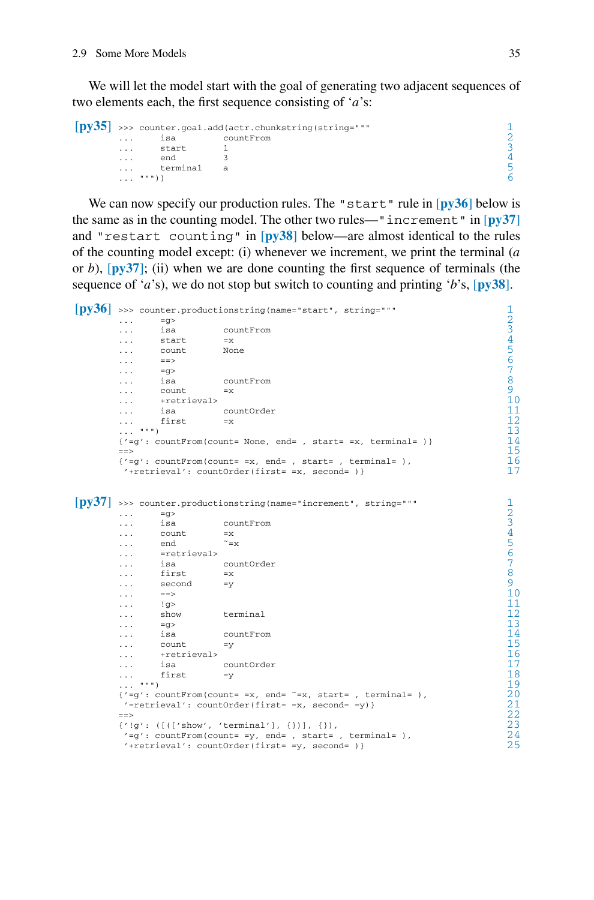We will let the model start with the goal of generating two adjacent sequences of two elements each, the first sequence consisting of '*a*'s:

```
[py35] >>> counter.goal.add(actr.chunkstring(string=""" 1<br>
... isa countFrom 2<br>
... start 1 3
     \ldots start 1 3
     \cdots end 3 4
     ... end 3<br>... terminal a 5<br>... "'")) 5
     ... """)) 6
```
We can now specify our production rules. The "start" rule in [**[py36](#page-28-0)**] below is the same as in the counting model. The other two rules—"increment" in [**[py37](#page-28-1)**] and "restart counting" in [**[py38](#page-29-0)**] below—are almost identical to the rules of the counting model except: (i) whenever we increment, we print the terminal (*a* or *b*), [**[py37](#page-28-1)**]; (ii) when we are done counting the first sequence of terminals (the sequence of '*a*'s), we do not stop but switch to counting and printing '*b*'s, [**[py38](#page-29-0)**].

```
[py36] >>> counter.productionstring(name="start", string=""" \cdots = \cdots 2<br>
\cdots is a countFrom 3
     ... isa countFrom<br>3. start =x 4
     \ldots start =x 4
     ... count None 5
     \ldots ==> 6
     \ldots =g> 7
     ... = g><br>... isa countFrom 8<br>... count = x 9
     \ldots count =x 9
     ... count =x<br>... +retrieval> 000mtOrder = 1000mtorder = 1000mtorder = 1000mtorder = 1000mtorder = 1100mtorder = 1100mtorder
     ... isa countOrder 11<br>... first =x 12
     \ldots first =x 12
     ... """) 13
{'=g': countFrom(count= None, end= , start= =x, terminal= )} 14 \Rightarrow 15
     {'=g': countFrom(count= =x, end= , start= , terminal= ), 16<br>'+retrieval': countOrder(first= =x, second= )} 17'+retrieval': countOrder(first= =x, second= ) }
[py37] \rightarrow\rightarrow\text{counter.productionstring} (name="increment", string=""" 1<br>
\cdots =g><br>
\cdots isa countFrom 3
     ... isa countFrom 3 \ldots count =x 4
     \ldots end \tilde{z} = x 5
     ... end {}^{\sim}=x 5<br>
... =retrieval> 6<br>
... isa countOrder 7
     ... isa countOrder 7<br>... first =x 8
     \cdots first =x 8
     ... second =y 9 \ldots ==> 10
     \ldots !g> 11
     ... show terminal 12
     \ldots =g> 13
     ... isa countFrom 14
     \ldots count =y 15
     ... count =y 15<br>... +retrieval> 16<br>... isa countOrder 17
     ... isa countOrder 17<br>... isa countOrder 17<br>... first =v
     \ldots first =y 18
     ... """) 19
{'=g': countFrom(count= =x, end= ˜=x, start= , terminal= ), 20
     \begin{array}{l} \text{``reterical':} \text{ countOrder(first= -x, second= -y)} \\ \text{...} \end{array} 21
     \Rightarrow 22
     {'!g': ([(['show', 'terminal'], {})], {}),<br>'=q': countFrom(count= =v, end= , start= , terminal= ), 24'=g': countFrom(count= =y, end= , start= , terminal= ), 24<br>'+retrieval': countOrder(first= =v, second= )} 25'+retrieval': countOrder(first= =y, second= )}
```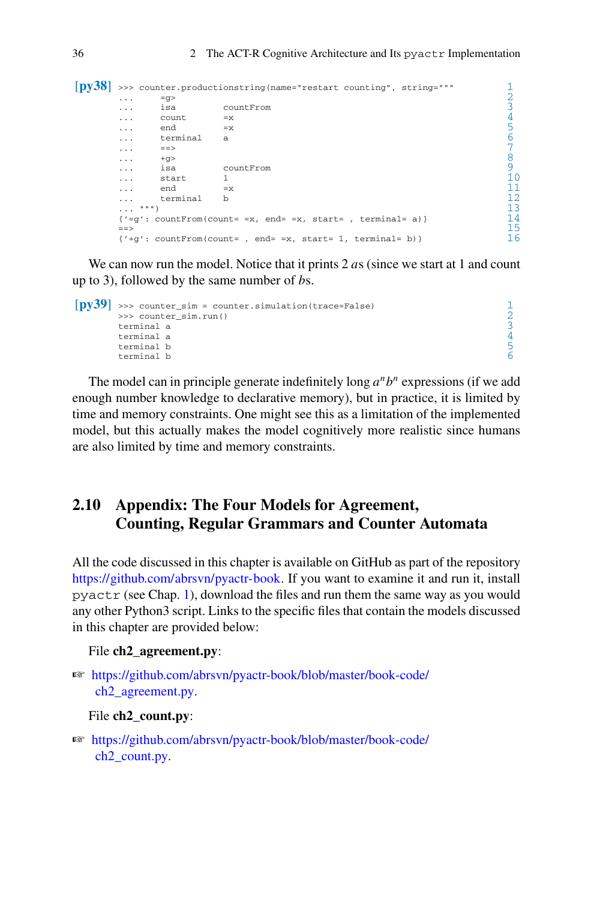```
[py38] >>> counter.productionstring(name="restart counting", string=""" 1<br>2<br>1 ... isa countFrom 3
    ... isa countFrom 3 \therefore count =x 4<br>\therefore end =x 5
    \ldots end =x 5
    \ldots terminal a 6<br>\ldots = \qquad \qquad = >
    \ldots ==> 7
    \cdots +g> 8
    ... isa countFrom 9 ... start 1<br>... start 1<br>... end =x 11
    \ldots end =x 11
    ... terminal b 12<br>... """) 13... """) 13
{'=g': countFrom(count= =x, end= =x, start= , terminal= a)} 14 ==> 15
{'+g': countFrom(count= , end= =x, start= 1, terminal= b)} 16
```
We can now run the model. Notice that it prints 2 *a*s (since we start at 1 and count up to 3), followed by the same number of *b*s.

```
[py39] \rightarrow\rightarrow\rightarrow\text{counter\_sim} = \text{counter\_simulation}(trace=False) 1<br>
\rightarrow\rightarrow\text{counter\_sim} = \text{num(1)} 2
    >>> counter_sim.run() 2<br>terminal a 2
    terminal a 3<br>terminal a 3
     terminal a 4terminal b 5terminal b 6
```
The model can in principle generate indefinitely long  $a<sup>n</sup>b<sup>n</sup>$  expressions (if we add enough number knowledge to declarative memory), but in practice, it is limited by time and memory constraints. One might see this as a limitation of the implemented model, but this actually makes the model cognitively more realistic since humans are also limited by time and memory constraints.

# **2.10 Appendix: The Four Models for Agreement, Counting, Regular Grammars and Counter Automata**

All the code discussed in this chapter is available on GitHub as part of the repository [https://github.com/abrsvn/pyactr-book.](https://github.com/abrsvn/pyactr-book) If you want to examine it and run it, install pyactr (see Chap. 1), download the files and run them the same way as you would any other Python3 script. Links to the specific files that contain the models discussed in this chapter are provided below:

```
File ch2_agreement.py:
```
☞ [https://github.com/abrsvn/pyactr-book/blob/master/book-code/](https://github.com/abrsvn/pyactr-book/blob/master/book-code/ch2_agreement.py) [ch2\\_agreement.py.](https://github.com/abrsvn/pyactr-book/blob/master/book-code/ch2_agreement.py)

```
File ch2_count.py:
```
☞ [https://github.com/abrsvn/pyactr-book/blob/master/book-code/](https://github.com/abrsvn/pyactr-book/blob/master/book-code/ch2_count.py) ch<sub>2</sub> count.py.